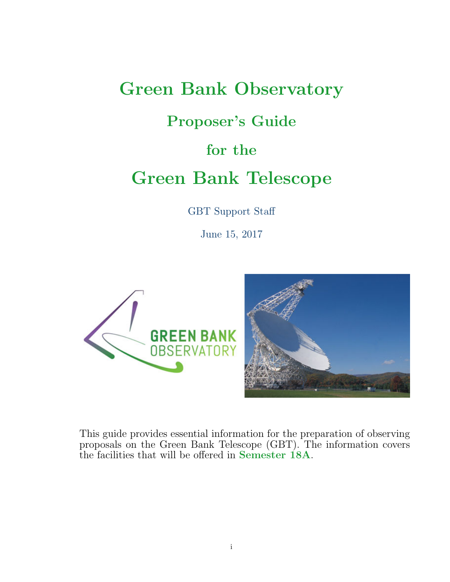# Green Bank Observatory

# Proposer's Guide

# for the

# Green Bank Telescope

GBT Support Staff

June 15, 2017





This guide provides essential information for the preparation of observing proposals on the Green Bank Telescope (GBT). The information covers the facilities that will be offered in Semester 18A.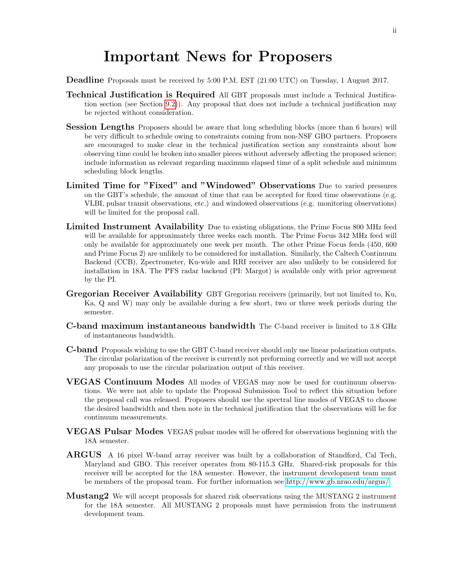# Important News for Proposers

- Deadline Proposals must be received by 5:00 P.M. EST (21:00 UTC) on Tuesday, 1 August 2017.
- Technical Justification is Required All GBT proposals must include a Technical Justification section (see Section [9.2\)](#page-33-0)). Any proposal that does not include a technical justification may be rejected without consideration.
- **Session Lengths** Proposers should be aware that long scheduling blocks (more than 6 hours) will be very difficult to schedule owing to constraints coming from non-NSF GBO partners. Proposers are encouraged to make clear in the technical justification section any constraints about how observing time could be broken into smaller pieces without adversely affecting the proposed science; include information as relevant regarding maximum elapsed time of a split schedule and minimum scheduling block lengths.
- Limited Time for "Fixed" and "Windowed" Observations Due to varied pressures on the GBT's schedule, the amount of time that can be accepted for fixed time observations (e.g. VLBI, pulsar transit observations, etc.) and windowed observations (e.g. monitoring observations) will be limited for the proposal call.
- Limited Instrument Availability Due to existing obligations, the Prime Focus 800 MHz feed will be available for approximately three weeks each month. The Prime Focus 342 MHz feed will only be available for approximately one week per month. The other Prime Focus feeds (450, 600 and Prime Focus 2) are unlikely to be considered for installation. Similarly, the Caltech Continuum Backend (CCB), Zpectrometer, Ku-wide and RRI receiver are also unlikely to be considered for installation in 18A. The PFS radar backend (PI: Margot) is available only with prior agreement by the PI.
- Gregorian Receiver Availability GBT Gregorian receivers (primarily, but not limited to, Ku, Ka, Q and W) may only be available during a few short, two or three week periods during the semester.
- C-band maximum instantaneous bandwidth The C-band receiver is limited to 3.8 GHz of instantaneous bandwidth.
- C-band Proposals wishing to use the GBT C-band receiver should only use linear polarization outputs. The circular polarization of the receiver is currently not preforming correctly and we will not accept any proposals to use the circular polarization output of this receiver.
- VEGAS Continuum Modes All modes of VEGAS may now be used for continuum observations. We were not able to update the Proposal Submission Tool to reflect this situation before the proposal call was released. Proposers should use the spectral line modes of VEGAS to choose the desired bandwidth and then note in the technical justification that the observations will be for continuum measurements.
- VEGAS Pulsar Modes VEGAS pulsar modes will be offered for observations beginning with the 18A semester.
- ARGUS A 16 pixel W-band array receiver was built by a collaboration of Standford, Cal Tech, Maryland and GBO. This receiver operates from 80-115.3 GHz. Shared-risk proposals for this receiver will be accepted for the 18A semester. However, the instrument development team must be members of the proposal team. For further information see [http://www.gb.nrao.edu/argus/.](http://www.gb.nrao.edu/argus/)
- **Mustang2** We will accept proposals for shared risk observations using the MUSTANG 2 instrument for the 18A semester. All MUSTANG 2 proposals must have permission from the instrument development team.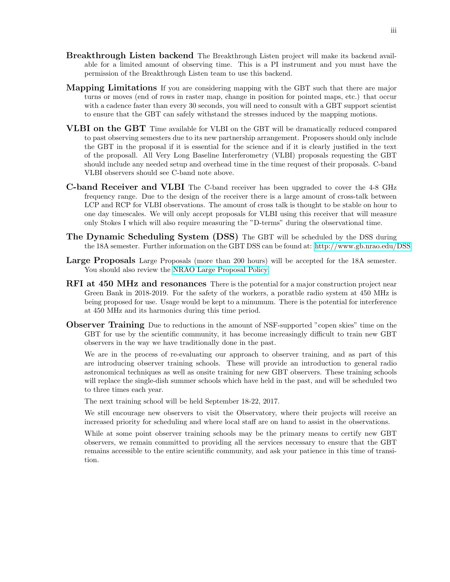- **Breakthrough Listen backend** The Breakthrough Listen project will make its backend available for a limited amount of observing time. This is a PI instrument and you must have the permission of the Breakthrough Listen team to use this backend.
- **Mapping Limitations** If you are considering mapping with the GBT such that there are major turns or moves (end of rows in raster map, change in position for pointed maps, etc.) that occur with a cadence faster than every 30 seconds, you will need to consult with a GBT support scientist to ensure that the GBT can safely withstand the stresses induced by the mapping motions.
- VLBI on the GBT Time available for VLBI on the GBT will be dramatically reduced compared to past observing semesters due to its new partnership arrangement. Proposers should only include the GBT in the proposal if it is essential for the science and if it is clearly justified in the text of the proposall. All Very Long Baseline Interferometry (VLBI) proposals requesting the GBT should include any needed setup and overhead time in the time request of their proposals. C-band VLBI observers should see C-band note above.
- C-band Receiver and VLBI The C-band receiver has been upgraded to cover the 4-8 GHz frequency range. Due to the design of the receiver there is a large amount of cross-talk between LCP and RCP for VLBI observations. The amount of cross talk is thought to be stable on hour to one day timescales. We will only accept proposals for VLBI using this receiver that will measure only Stokes I which will also require measuring the "D-terms" during the observational time.
- The Dynamic Scheduling System (DSS) The GBT will be scheduled by the DSS during the 18A semester. Further information on the GBT DSS can be found at:<http://www.gb.nrao.edu/DSS>
- Large Proposals Large Proposals (more than 200 hours) will be accepted for the 18A semester. You should also review the [NRAO Large Proposal Policy.](https://science.nrao.edu/observing/proposal-types/largeproppolicy)
- **RFI at 450 MHz and resonances** There is the potential for a major construction project near Green Bank in 2018-2019. For the safety of the workers, a poratble radio system at 450 MHz is being proposed for use. Usage would be kept to a minumum. There is the potential for interference at 450 MHz and its harmonics during this time period.
- **Observer Training** Due to reductions in the amount of NSF-supported "copen skies" time on the GBT for use by the scientific community, it has become increasingly difficult to train new GBT observers in the way we have traditionally done in the past.

We are in the process of re-evaluating our approach to observer training, and as part of this are introducing observer training schools. These will provide an introduction to general radio astronomical techniques as well as onsite training for new GBT observers. These training schools will replace the single-dish summer schools which have held in the past, and will be scheduled two to three times each year.

The next training school will be held September 18-22, 2017.

We still encourage new observers to visit the Observatory, where their projects will receive an increased priority for scheduling and where local staff are on hand to assist in the observations.

While at some point observer training schools may be the primary means to certify new GBT observers, we remain committed to providing all the services necessary to ensure that the GBT remains accessible to the entire scientific community, and ask your patience in this time of transition.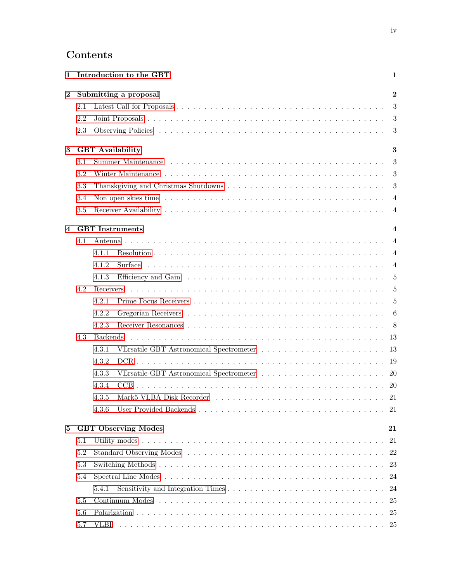# Contents

| 1                | Introduction to the GBT |                            |                         |  |  |  |  |  |  |  |  |  |  |  |
|------------------|-------------------------|----------------------------|-------------------------|--|--|--|--|--|--|--|--|--|--|--|
| $\bf{2}$         |                         | Submitting a proposal      |                         |  |  |  |  |  |  |  |  |  |  |  |
|                  | 2.1                     |                            | 3                       |  |  |  |  |  |  |  |  |  |  |  |
|                  | 2.2                     |                            | 3                       |  |  |  |  |  |  |  |  |  |  |  |
|                  | 2.3                     |                            | 3                       |  |  |  |  |  |  |  |  |  |  |  |
| 3                |                         | <b>GBT</b> Availability    | 3                       |  |  |  |  |  |  |  |  |  |  |  |
|                  | 3.1                     |                            | 3                       |  |  |  |  |  |  |  |  |  |  |  |
|                  | 3.2                     |                            | 3                       |  |  |  |  |  |  |  |  |  |  |  |
|                  | 3.3                     |                            | 3                       |  |  |  |  |  |  |  |  |  |  |  |
|                  | 3.4                     |                            | $\overline{4}$          |  |  |  |  |  |  |  |  |  |  |  |
|                  | 3.5                     |                            | $\overline{4}$          |  |  |  |  |  |  |  |  |  |  |  |
| $\boldsymbol{4}$ |                         | <b>GBT</b> Instruments     | $\overline{\mathbf{4}}$ |  |  |  |  |  |  |  |  |  |  |  |
|                  | 4.1                     |                            | $\overline{4}$          |  |  |  |  |  |  |  |  |  |  |  |
|                  |                         | 4.1.1                      | $\overline{4}$          |  |  |  |  |  |  |  |  |  |  |  |
|                  |                         | 4.1.2<br>Surface           | $\overline{4}$          |  |  |  |  |  |  |  |  |  |  |  |
|                  |                         | 4.1.3                      | 5                       |  |  |  |  |  |  |  |  |  |  |  |
|                  | 4.2                     |                            | 5                       |  |  |  |  |  |  |  |  |  |  |  |
|                  |                         | 4.2.1                      | 5                       |  |  |  |  |  |  |  |  |  |  |  |
|                  |                         | 4.2.2                      | -6                      |  |  |  |  |  |  |  |  |  |  |  |
|                  |                         | 4.2.3                      |                         |  |  |  |  |  |  |  |  |  |  |  |
|                  | 4.3                     | <b>Backends</b>            |                         |  |  |  |  |  |  |  |  |  |  |  |
|                  |                         | 4.3.1                      |                         |  |  |  |  |  |  |  |  |  |  |  |
|                  |                         | 4.3.2                      |                         |  |  |  |  |  |  |  |  |  |  |  |
|                  |                         | 4.3.3                      |                         |  |  |  |  |  |  |  |  |  |  |  |
|                  |                         | 4.3.4                      |                         |  |  |  |  |  |  |  |  |  |  |  |
|                  |                         | 4.3.5                      |                         |  |  |  |  |  |  |  |  |  |  |  |
|                  |                         | 4.3.6                      | -21                     |  |  |  |  |  |  |  |  |  |  |  |
| 5                |                         | <b>GBT</b> Observing Modes | 21                      |  |  |  |  |  |  |  |  |  |  |  |
|                  | 5.1                     |                            | 21                      |  |  |  |  |  |  |  |  |  |  |  |
|                  | 5.2                     |                            | 22                      |  |  |  |  |  |  |  |  |  |  |  |
|                  | 5.3                     |                            | 23                      |  |  |  |  |  |  |  |  |  |  |  |
|                  | 5.4                     |                            | 24                      |  |  |  |  |  |  |  |  |  |  |  |
|                  |                         | 5.4.1                      | 24                      |  |  |  |  |  |  |  |  |  |  |  |
|                  | 5.5                     |                            | 25                      |  |  |  |  |  |  |  |  |  |  |  |
|                  | 5.6                     |                            | 25                      |  |  |  |  |  |  |  |  |  |  |  |
|                  | 5.7                     | VLBI                       |                         |  |  |  |  |  |  |  |  |  |  |  |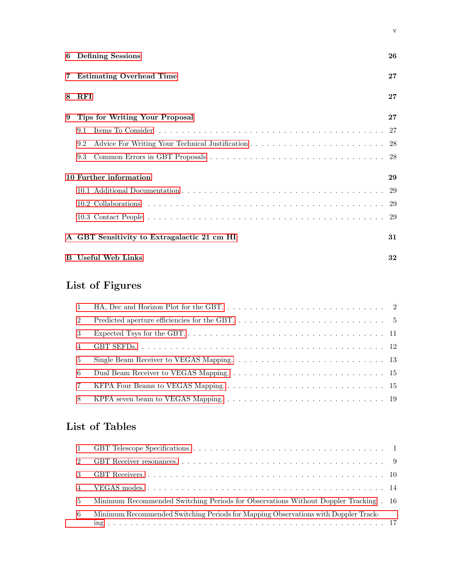|   | 6 Defining Sessions<br>26                   |    |  |  |  |  |  |  |  |  |
|---|---------------------------------------------|----|--|--|--|--|--|--|--|--|
| 7 | 27<br><b>Estimating Overhead Time</b>       |    |  |  |  |  |  |  |  |  |
| 8 | $\mathbf{RFI}$<br>27                        |    |  |  |  |  |  |  |  |  |
| 9 | <b>Tips for Writing Your Proposal</b>       | 27 |  |  |  |  |  |  |  |  |
|   | 9.1                                         |    |  |  |  |  |  |  |  |  |
|   | 9.2                                         |    |  |  |  |  |  |  |  |  |
|   | 9.3                                         |    |  |  |  |  |  |  |  |  |
|   | 10 Further information                      | 29 |  |  |  |  |  |  |  |  |
|   |                                             |    |  |  |  |  |  |  |  |  |
|   |                                             |    |  |  |  |  |  |  |  |  |
|   |                                             |    |  |  |  |  |  |  |  |  |
|   | A GBT Sensitivity to Extragalactic 21 cm HI | 31 |  |  |  |  |  |  |  |  |
|   | <b>B</b> Useful Web Links                   | 32 |  |  |  |  |  |  |  |  |

v

# List of Figures

| $\overline{1}$ |  |
|----------------|--|
| $\mathcal{L}$  |  |
| 3              |  |
| $\overline{4}$ |  |
| 5.             |  |
| -6             |  |
| 7              |  |
| -8             |  |

# List of Tables

| $2^{\circ}$    |                                                                                      |  |
|----------------|--------------------------------------------------------------------------------------|--|
| $\mathbf{3}$   |                                                                                      |  |
|                |                                                                                      |  |
| 5 <sup>5</sup> | Minimum Recommended Switching Periods for Observations Without Doppler Tracking . 16 |  |
| -6             | Minimum Recommended Switching Periods for Mapping Observations with Doppler Track-   |  |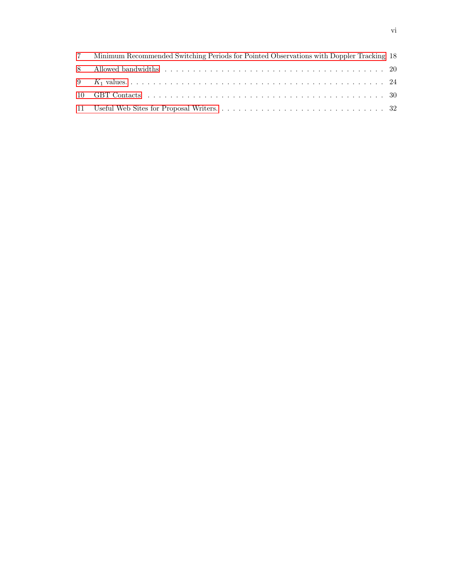| 7 Minimum Recommended Switching Periods for Pointed Observations with Doppler Tracking 18 |  |
|-------------------------------------------------------------------------------------------|--|
|                                                                                           |  |
|                                                                                           |  |
|                                                                                           |  |
|                                                                                           |  |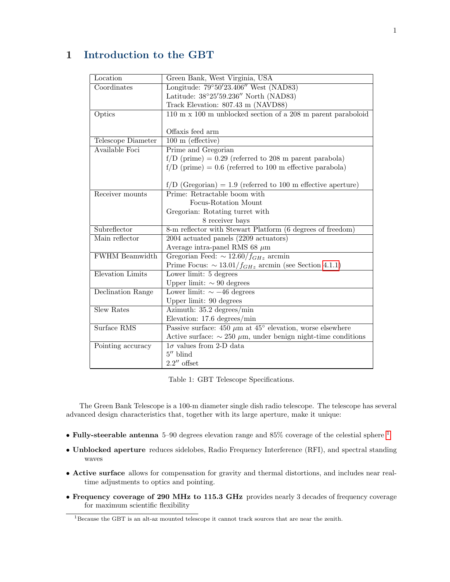# <span id="page-6-0"></span>1 Introduction to the GBT

| Location                | Green Bank, West Virginia, USA                                          |
|-------------------------|-------------------------------------------------------------------------|
| Coordinates             | Longitude: $79^{\circ}50'23.406''$ West (NAD83)                         |
|                         | Latitude: 38°25'59.236" North (NAD83)                                   |
|                         | Track Elevation: 807.43 m (NAVD88)                                      |
| Optics                  | 110 m x 100 m unblocked section of a 208 m parent paraboloid            |
|                         |                                                                         |
|                         | Offaxis feed arm                                                        |
| Telescope Diameter      | $100$ m (effective)                                                     |
| Available Foci          | Prime and Gregorian                                                     |
|                         | $f/D$ (prime) = 0.29 (referred to 208 m parent parabola)                |
|                         | $f/D$ (prime) = 0.6 (referred to 100 m effective parabola)              |
|                         |                                                                         |
|                         | $f/D$ (Gregorian) = 1.9 (referred to 100 m effective aperture)          |
| Receiver mounts         | Prime: Retractable boom with                                            |
|                         | Focus-Rotation Mount                                                    |
|                         | Gregorian: Rotating turret with                                         |
|                         | 8 receiver bays                                                         |
| Subreflector            | 8-m reflector with Stewart Platform (6 degrees of freedom)              |
| Main reflector          | $2004$ actuated panels $(2209$ actuators)                               |
|                         | Average intra-panel RMS 68 $\mu \mathrm{m}$                             |
| <b>FWHM</b> Beamwidth   | Gregorian Feed: $\sim 12.60/f_{GHz}$ arcmin                             |
|                         | Prime Focus: $\sim 13.01/f_{GHz}$ arcmin (see Section 4.1.1)            |
| <b>Elevation Limits</b> | Lower limit: 5 degrees                                                  |
|                         | Upper limit: $\sim 90$ degrees                                          |
| Declination Range       | Lower limit: $\sim -46$ degrees                                         |
|                         | Upper limit: 90 degrees                                                 |
| <b>Slew Rates</b>       | Azimuth: 35.2 degrees/min                                               |
|                         | Elevation: 17.6 degrees/min                                             |
| Surface RMS             | Passive surface: $450 \mu m$ at $45^{\circ}$ elevation, worse elsewhere |
|                         | Active surface: $\sim 250 \mu m$ , under benign night-time conditions   |
| Pointing accuracy       | $1\sigma$ values from 2-D data                                          |
|                         | $5''$ blind                                                             |
|                         | $2.2''$ offset                                                          |

<span id="page-6-1"></span>Table 1: GBT Telescope Specifications.

The Green Bank Telescope is a 100-m diameter single dish radio telescope. The telescope has several advanced design characteristics that, together with its large aperture, make it unique:

- Fully-steerable antenna 5–90 degrees elevation range and  $85\%$  coverage of the celestial sphere  $^1$  $^1$
- Unblocked aperture reduces sidelobes, Radio Frequency Interference (RFI), and spectral standing waves
- Active surface allows for compensation for gravity and thermal distortions, and includes near realtime adjustments to optics and pointing.
- Frequency coverage of 290 MHz to 115.3 GHz provides nearly 3 decades of frequency coverage for maximum scientific flexibility

<span id="page-6-2"></span><sup>1</sup>Because the GBT is an alt-az mounted telescope it cannot track sources that are near the zenith.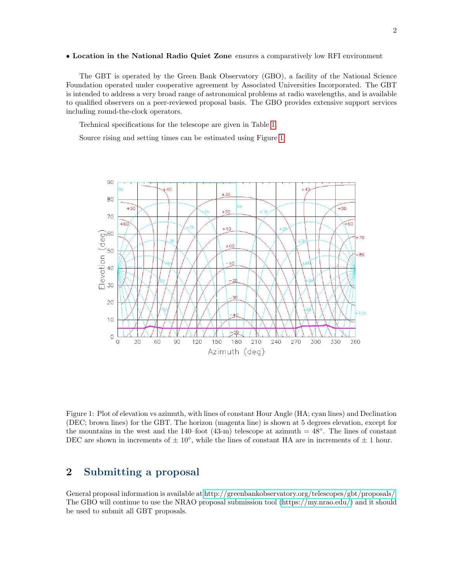#### • Location in the National Radio Quiet Zone ensures a comparatively low RFI environment

The GBT is operated by the Green Bank Observatory (GBO), a facility of the National Science Foundation operated under cooperative agreement by Associated Universities Incorporated. The GBT is intended to address a very broad range of astronomical problems at radio wavelengths, and is available to qualified observers on a peer-reviewed proposal basis. The GBO provides extensive support services including round-the-clock operators.

Technical specifications for the telescope are given in Table [1.](#page-6-1)

Source rising and setting times can be estimated using Figure [1.](#page-7-1)



<span id="page-7-1"></span>Figure 1: Plot of elevation vs azimuth, with lines of constant Hour Angle (HA; cyan lines) and Declination (DEC; brown lines) for the GBT. The horizon (magenta line) is shown at 5 degrees elevation, except for the mountains in the west and the 140–foot  $(43-m)$  telescope at azimuth =  $48^\circ$ . The lines of constant DEC are shown in increments of  $\pm 10^{\circ}$ , while the lines of constant HA are in increments of  $\pm 1$  hour.

# <span id="page-7-0"></span>2 Submitting a proposal

General proposal information is available at [http://greenbankobservatory.org/telescopes/gbt/proposals/.](http://greenbankobservatory.org/telescopes/gbt/proposals/) The GBO will continue to use the NRAO proposal submission tool [\(https://my.nrao.edu/\)](https://my.nrao.edu/) and it should be used to submit all GBT proposals.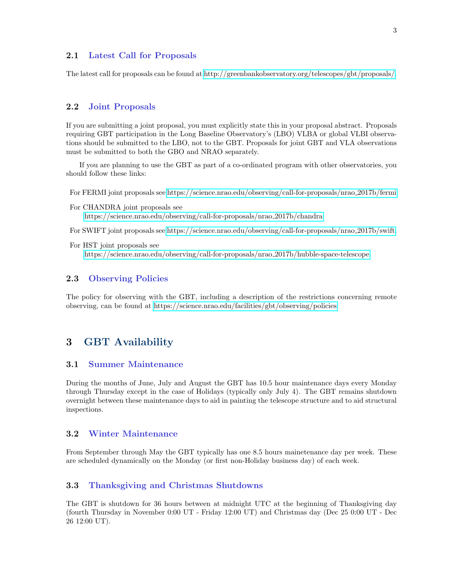#### <span id="page-8-0"></span>2.1 Latest Call for Proposals

The latest call for proposals can be found at [http://greenbankobservatory.org/telescopes/gbt/proposals/.](http://greenbankobservatory.org/telescopes/gbt/proposals/)

#### <span id="page-8-1"></span>2.2 Joint Proposals

If you are submitting a joint proposal, you must explicitly state this in your proposal abstract. Proposals requiring GBT participation in the Long Baseline Observatory's (LBO) VLBA or global VLBI observations should be submitted to the LBO, not to the GBT. Proposals for joint GBT and VLA observations must be submitted to both the GBO and NRAO separately.

If you are planning to use the GBT as part of a co-ordinated program with other observatories, you should follow these links:

For FERMI joint proposals see [https://science.nrao.edu/observing/call-for-proposals/nrao](https://science.nrao.edu/observing/call-for-proposals/nrao_2017b/fermi) 2017b/fermi.

- For CHANDRA joint proposals see [https://science.nrao.edu/observing/call-for-proposals/nrao](https://science.nrao.edu/observing/call-for-proposals/nrao_2017b/chandra) 2017b/chandra.
- For SWIFT joint proposals see [https://science.nrao.edu/observing/call-for-proposals/nrao](https://science.nrao.edu/observing/call-for-proposals/nrao_2017b/swift) 2017b/swift.
- For HST joint proposals see

[https://science.nrao.edu/observing/call-for-proposals/nrao](https://science.nrao.edu/observing/call-for-proposals/nrao_2017b/hubble-space-telescope) 2017b/hubble-space-telescope.

#### <span id="page-8-2"></span>2.3 Observing Policies

The policy for observing with the GBT, including a description of the restrictions concerning remote observing, can be found at [https://science.nrao.edu/facilities/gbt/observing/policies.](https://science.nrao.edu/facilities/gbt/observing/policies)

# <span id="page-8-3"></span>3 GBT Availability

#### <span id="page-8-4"></span>3.1 Summer Maintenance

During the months of June, July and August the GBT has 10.5 hour maintenance days every Monday through Thursday except in the case of Holidays (typically only July 4). The GBT remains shutdown overnight between these maintenance days to aid in painting the telescope structure and to aid structural inspections.

#### <span id="page-8-5"></span>3.2 Winter Maintenance

From September through May the GBT typically has one 8.5 hours mainetenance day per week. These are scheduled dynamically on the Monday (or first non-Holiday business day) of each week.

## <span id="page-8-6"></span>3.3 Thanksgiving and Christmas Shutdowns

The GBT is shutdown for 36 hours between at midnight UTC at the beginning of Thanksgiving day (fourth Thursday in November 0:00 UT - Friday 12:00 UT) and Christmas day (Dec 25 0:00 UT - Dec 26 12:00 UT).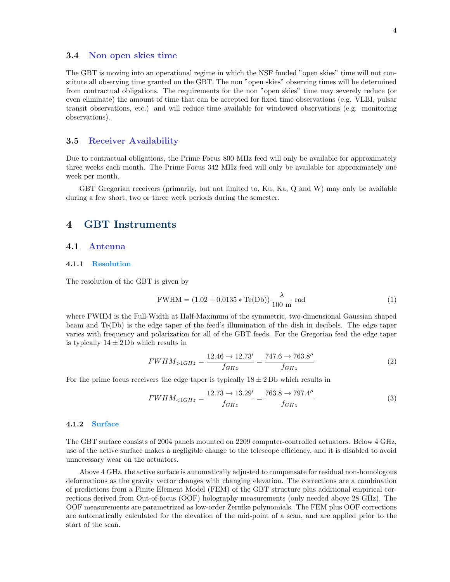#### <span id="page-9-0"></span>3.4 Non open skies time

The GBT is moving into an operational regime in which the NSF funded "open skies" time will not constitute all observing time granted on the GBT. The non "open skies" observing times will be determined from contractual obligations. The requirements for the non "open skies" time may severely reduce (or even eliminate) the amount of time that can be accepted for fixed time observations (e.g. VLBI, pulsar transit observations, etc.) and will reduce time available for windowed observations (e.g. monitoring observations).

#### <span id="page-9-1"></span>3.5 Receiver Availability

Due to contractual obligations, the Prime Focus 800 MHz feed will only be available for approximately three weeks each month. The Prime Focus 342 MHz feed will only be available for approximately one week per month.

GBT Gregorian receivers (primarily, but not limited to, Ku, Ka, Q and W) may only be available during a few short, two or three week periods during the semester.

# <span id="page-9-2"></span>4 GBT Instruments

#### <span id="page-9-3"></span>4.1 Antenna

#### <span id="page-9-4"></span>4.1.1 Resolution

The resolution of the GBT is given by

$$
FWHM = (1.02 + 0.0135 * Te(Db)) \frac{\lambda}{100 m} rad
$$
 (1)

where FWHM is the Full-Width at Half-Maximum of the symmetric, two-dimensional Gaussian shaped beam and Te(Db) is the edge taper of the feed's illumination of the dish in decibels. The edge taper varies with frequency and polarization for all of the GBT feeds. For the Gregorian feed the edge taper is typically  $14 \pm 2$  Db which results in

$$
FWHM_{>1GHz} = \frac{12.46 \rightarrow 12.73'}{f_{GHz}} = \frac{747.6 \rightarrow 763.8''}{f_{GHz}}
$$
(2)

For the prime focus receivers the edge taper is typically  $18 \pm 2$  Db which results in

$$
FWHM_{<1GHz} = \frac{12.73 \rightarrow 13.29'}{f_{GHz}} = \frac{763.8 \rightarrow 797.4''}{f_{GHz}}
$$
(3)

#### <span id="page-9-5"></span>4.1.2 Surface

The GBT surface consists of 2004 panels mounted on 2209 computer-controlled actuators. Below 4 GHz, use of the active surface makes a negligible change to the telescope efficiency, and it is disabled to avoid unnecessary wear on the actuators.

Above 4 GHz, the active surface is automatically adjusted to compensate for residual non-homologous deformations as the gravity vector changes with changing elevation. The corrections are a combination of predictions from a Finite Element Model (FEM) of the GBT structure plus additional empirical corrections derived from Out-of-focus (OOF) holography measurements (only needed above 28 GHz). The OOF measurements are parametrized as low-order Zernike polynomials. The FEM plus OOF corrections are automatically calculated for the elevation of the mid-point of a scan, and are applied prior to the start of the scan.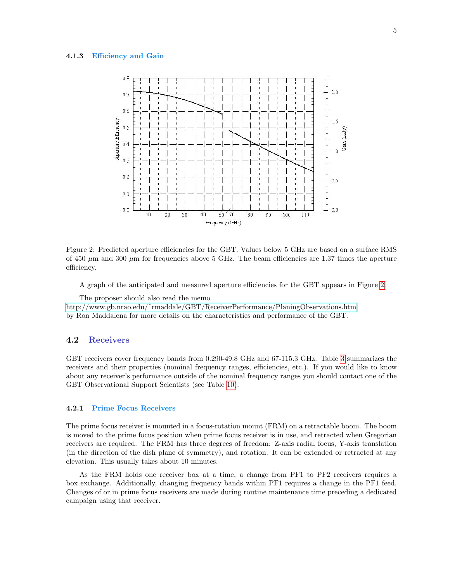#### <span id="page-10-0"></span>4.1.3 Efficiency and Gain



<span id="page-10-3"></span>Figure 2: Predicted aperture efficiencies for the GBT. Values below 5 GHz are based on a surface RMS of 450  $\mu$ m and 300  $\mu$ m for frequencies above 5 GHz. The beam efficiencies are 1.37 times the aperture efficiency.

A graph of the anticipated and measured aperture efficiencies for the GBT appears in Figure [2.](#page-10-3)

The proposer should also read the memo [http://www.gb.nrao.edu/˜rmaddale/GBT/ReceiverPerformance/PlaningObservations.htm](http://www.gb.nrao.edu/~rmaddale/GBT/ReceiverPerformance/PlaningObservations.htm) by Ron Maddalena for more details on the characteristics and performance of the GBT.

#### <span id="page-10-1"></span>4.2 Receivers

GBT receivers cover frequency bands from 0.290-49.8 GHz and 67-115.3 GHz. Table [3](#page-15-0) summarizes the receivers and their properties (nominal frequency ranges, efficiencies, etc.). If you would like to know about any receiver's performance outside of the nominal frequency ranges you should contact one of the GBT Observational Support Scientists (see Table [10\)](#page-35-0).

## <span id="page-10-2"></span>4.2.1 Prime Focus Receivers

The prime focus receiver is mounted in a focus-rotation mount (FRM) on a retractable boom. The boom is moved to the prime focus position when prime focus receiver is in use, and retracted when Gregorian receivers are required. The FRM has three degrees of freedom: Z-axis radial focus, Y-axis translation (in the direction of the dish plane of symmetry), and rotation. It can be extended or retracted at any elevation. This usually takes about 10 minutes.

As the FRM holds one receiver box at a time, a change from PF1 to PF2 receivers requires a box exchange. Additionally, changing frequency bands within PF1 requires a change in the PF1 feed. Changes of or in prime focus receivers are made during routine maintenance time preceding a dedicated campaign using that receiver.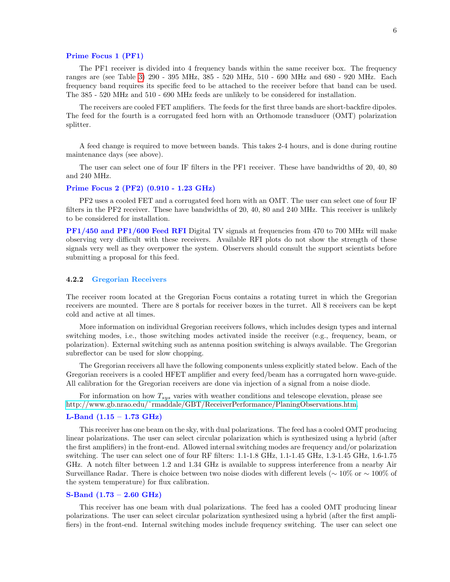#### Prime Focus 1 (PF1)

The PF1 receiver is divided into 4 frequency bands within the same receiver box. The frequency ranges are (see Table [3\)](#page-15-0) 290 - 395 MHz, 385 - 520 MHz, 510 - 690 MHz and 680 - 920 MHz. Each frequency band requires its specific feed to be attached to the receiver before that band can be used. The 385 - 520 MHz and 510 - 690 MHz feeds are unlikely to be considered for installation.

The receivers are cooled FET amplifiers. The feeds for the first three bands are short-backfire dipoles. The feed for the fourth is a corrugated feed horn with an Orthomode transducer (OMT) polarization splitter.

A feed change is required to move between bands. This takes 2-4 hours, and is done during routine maintenance days (see above).

The user can select one of four IF filters in the PF1 receiver. These have bandwidths of 20, 40, 80 and 240 MHz.

#### Prime Focus 2 (PF2) (0.910 - 1.23 GHz)

PF2 uses a cooled FET and a corrugated feed horn with an OMT. The user can select one of four IF filters in the PF2 receiver. These have bandwidths of 20, 40, 80 and 240 MHz. This receiver is unlikely to be considered for installation.

PF1/450 and PF1/600 Feed RFI Digital TV signals at frequencies from 470 to 700 MHz will make observing very difficult with these receivers. Available RFI plots do not show the strength of these signals very well as they overpower the system. Observers should consult the support scientists before submitting a proposal for this feed.

#### <span id="page-11-0"></span>4.2.2 Gregorian Receivers

The receiver room located at the Gregorian Focus contains a rotating turret in which the Gregorian receivers are mounted. There are 8 portals for receiver boxes in the turret. All 8 receivers can be kept cold and active at all times.

More information on individual Gregorian receivers follows, which includes design types and internal switching modes, i.e., those switching modes activated inside the receiver (e.g., frequency, beam, or polarization). External switching such as antenna position switching is always available. The Gregorian subreflector can be used for slow chopping.

The Gregorian receivers all have the following components unless explicitly stated below. Each of the Gregorian receivers is a cooled HFET amplifier and every feed/beam has a corrugated horn wave-guide. All calibration for the Gregorian receivers are done via injection of a signal from a noise diode.

For information on how  $T_{sys}$  varies with weather conditions and telescope elevation, please see [http://www.gb.nrao.edu/˜rmaddale/GBT/ReceiverPerformance/PlaningObservations.htm.](http://www.gb.nrao.edu/~rmaddale/GBT/ReceiverPerformance/PlaningObservations.htm)

#### L-Band  $(1.15 - 1.73 \text{ GHz})$

This receiver has one beam on the sky, with dual polarizations. The feed has a cooled OMT producing linear polarizations. The user can select circular polarization which is synthesized using a hybrid (after the first amplifiers) in the front-end. Allowed internal switching modes are frequency and/or polarization switching. The user can select one of four RF filters: 1.1-1.8 GHz, 1.1-1.45 GHz, 1.3-1.45 GHz, 1.6-1.75 GHz. A notch filter between 1.2 and 1.34 GHz is available to suppress interference from a nearby Air Surveillance Radar. There is choice between two noise diodes with different levels (∼ 10% or ∼ 100% of the system temperature) for flux calibration.

#### S-Band (1.73 – 2.60 GHz)

This receiver has one beam with dual polarizations. The feed has a cooled OMT producing linear polarizations. The user can select circular polarization synthesized using a hybrid (after the first amplifiers) in the front-end. Internal switching modes include frequency switching. The user can select one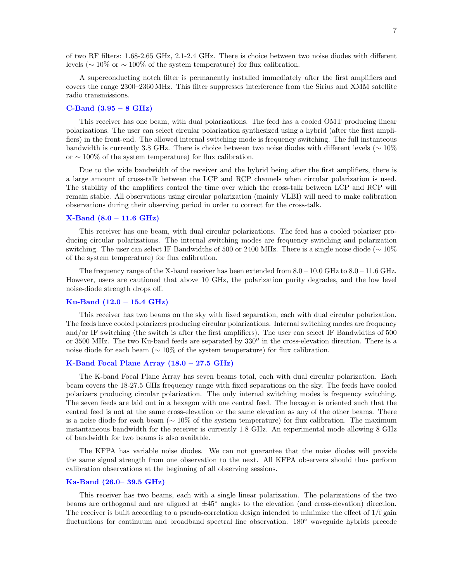of two RF filters: 1.68-2.65 GHz, 2.1-2.4 GHz. There is choice between two noise diodes with different levels ( $\sim 10\%$  or  $\sim 100\%$  of the system temperature) for flux calibration.

A superconducting notch filter is permanently installed immediately after the first amplifiers and covers the range 2300–2360 MHz. This filter suppresses interference from the Sirius and XMM satellite radio transmissions.

#### $C$ -Band  $(3.95 - 8 \text{ GHz})$

This receiver has one beam, with dual polarizations. The feed has a cooled OMT producing linear polarizations. The user can select circular polarization synthesized using a hybrid (after the first amplifiers) in the front-end. The allowed internal switching mode is frequency switching. The full instanteous bandwidth is currently 3.8 GHz. There is choice between two noise diodes with different levels ( $\sim 10\%$ or  $\sim$  100% of the system temperature) for flux calibration.

Due to the wide bandwidth of the receiver and the hybrid being after the first amplifiers, there is a large amount of cross-talk between the LCP and RCP channels when circular polarization is used. The stability of the amplifiers control the time over which the cross-talk between LCP and RCP will remain stable. All observations using circular polarization (mainly VLBI) will need to make calibration observations during their observing period in order to correct for the cross-talk.

#### **X-Band**  $(8.0 - 11.6 \text{ GHz})$

This receiver has one beam, with dual circular polarizations. The feed has a cooled polarizer producing circular polarizations. The internal switching modes are frequency switching and polarization switching. The user can select IF Bandwidths of 500 or 2400 MHz. There is a single noise diode ( $\sim 10\%$ ) of the system temperature) for flux calibration.

The frequency range of the X-band receiver has been extended from  $8.0 - 10.0$  GHz to  $8.0 - 11.6$  GHz. However, users are cautioned that above 10 GHz, the polarization purity degrades, and the low level noise-diode strength drops off.

#### Ku-Band  $(12.0 - 15.4 \text{ GHz})$

This receiver has two beams on the sky with fixed separation, each with dual circular polarization. The feeds have cooled polarizers producing circular polarizations. Internal switching modes are frequency and/or IF switching (the switch is after the first amplifiers). The user can select IF Bandwidths of 500 or 3500 MHz. The two Ku-band feeds are separated by  $330''$  in the cross-elevation direction. There is a noise diode for each beam ( $\sim 10\%$  of the system temperature) for flux calibration.

#### K-Band Focal Plane Array (18.0 – 27.5 GHz)

The K-band Focal Plane Array has seven beams total, each with dual circular polarization. Each beam covers the 18-27.5 GHz frequency range with fixed separations on the sky. The feeds have cooled polarizers producing circular polarization. The only internal switching modes is frequency switching. The seven feeds are laid out in a hexagon with one central feed. The hexagon is oriented such that the central feed is not at the same cross-elevation or the same elevation as any of the other beams. There is a noise diode for each beam (∼ 10% of the system temperature) for flux calibration. The maximum instantaneous bandwidth for the receiver is currently 1.8 GHz. An experimental mode allowing 8 GHz of bandwidth for two beams is also available.

The KFPA has variable noise diodes. We can not guarantee that the noise diodes will provide the same signal strength from one observation to the next. All KFPA observers should thus perform calibration observations at the beginning of all observing sessions.

#### Ka-Band (26.0– 39.5 GHz)

This receiver has two beams, each with a single linear polarization. The polarizations of the two beams are orthogonal and are aligned at ±45◦ angles to the elevation (and cross-elevation) direction. The receiver is built according to a pseudo-correlation design intended to minimize the effect of 1/f gain fluctuations for continuum and broadband spectral line observation. 180° waveguide hybrids precede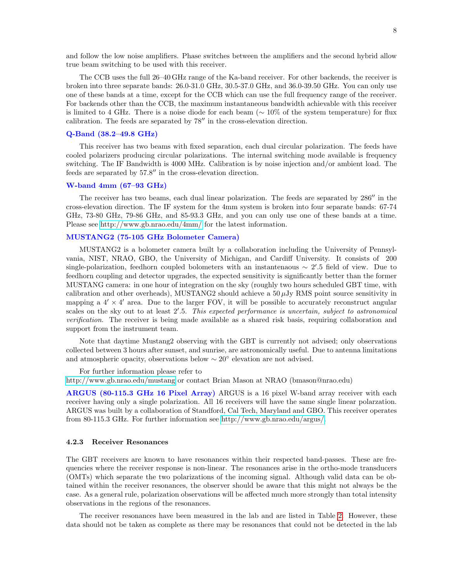and follow the low noise amplifiers. Phase switches between the amplifiers and the second hybrid allow true beam switching to be used with this receiver.

The CCB uses the full 26–40 GHz range of the Ka-band receiver. For other backends, the receiver is broken into three separate bands: 26.0-31.0 GHz, 30.5-37.0 GHz, and 36.0-39.50 GHz. You can only use one of these bands at a time, except for the CCB which can use the full frequency range of the receiver. For backends other than the CCB, the maximum instantaneous bandwidth achievable with this receiver is limited to 4 GHz. There is a noise diode for each beam ( $\sim 10\%$  of the system temperature) for flux calibration. The feeds are separated by  $78^{\prime\prime}$  in the cross-elevation direction.

#### Q-Band (38.2–49.8 GHz)

This receiver has two beams with fixed separation, each dual circular polarization. The feeds have cooled polarizers producing circular polarizations. The internal switching mode available is frequency switching. The IF Bandwidth is 4000 MHz. Calibration is by noise injection and/or ambient load. The feeds are separated by 57.8" in the cross-elevation direction.

#### W-band 4mm (67–93 GHz)

The receiver has two beams, each dual linear polarization. The feeds are separated by 286" in the cross-elevation direction. The IF system for the 4mm system is broken into four separate bands: 67-74 GHz, 73-80 GHz, 79-86 GHz, and 85-93.3 GHz, and you can only use one of these bands at a time. Please see<http://www.gb.nrao.edu/4mm/> for the latest information.

#### MUSTANG2 (75-105 GHz Bolometer Camera)

MUSTANG2 is a bolometer camera built by a collaboration including the University of Pennsylvania, NIST, NRAO, GBO, the University of Michigan, and Cardiff University. It consists of 200 single-polarization, feedhorn coupled bolometers with an instantenaous ~ 2'.5 field of view. Due to feedhorn coupling and detector upgrades, the expected sensitivity is significantly better than the former MUSTANG camera: in one hour of integration on the sky (roughly two hours scheduled GBT time, with calibration and other overheads), MUSTANG2 should achieve a  $50 \mu Jy$  RMS point source sensitivity in mapping a  $4' \times 4'$  area. Due to the larger FOV, it will be possible to accurately reconstruct angular scales on the sky out to at least 2'.5. This expected performance is uncertain, subject to astronomical verification. The receiver is being made available as a shared risk basis, requiring collaboration and support from the instrument team.

Note that daytime Mustang2 observing with the GBT is currently not advised; only observations collected between 3 hours after sunset, and sunrise, are astronomically useful. Due to antenna limitations and atmospheric opacity, observations below  $\sim 20^{\circ}$  elevation are not advised.

For further information please refer to

<http://www.gb.nrao.edu/mustang> or contact Brian Mason at NRAO (bmason@nrao.edu)

ARGUS (80-115.3 GHz 16 Pixel Array) ARGUS is a 16 pixel W-band array receiver with each receiver having only a single polarization. All 16 receivers will have the same single linear polarzation. ARGUS was built by a collaboration of Standford, Cal Tech, Maryland and GBO. This receiver operates from 80-115.3 GHz. For further information see [http://www.gb.nrao.edu/argus/.](http://www.gb.nrao.edu/argus/)

#### <span id="page-13-0"></span>4.2.3 Receiver Resonances

The GBT receivers are known to have resonances within their respected band-passes. These are frequencies where the receiver response is non-linear. The resonances arise in the ortho-mode transducers (OMTs) which separate the two polarizations of the incoming signal. Although valid data can be obtained within the receiver resonances, the observer should be aware that this might not always be the case. As a general rule, polarization observations will be affected much more strongly than total intensity observations in the regions of the resonances.

The receiver resonances have been measured in the lab and are listed in Table [2.](#page-14-0) However, these data should not be taken as complete as there may be resonances that could not be detected in the lab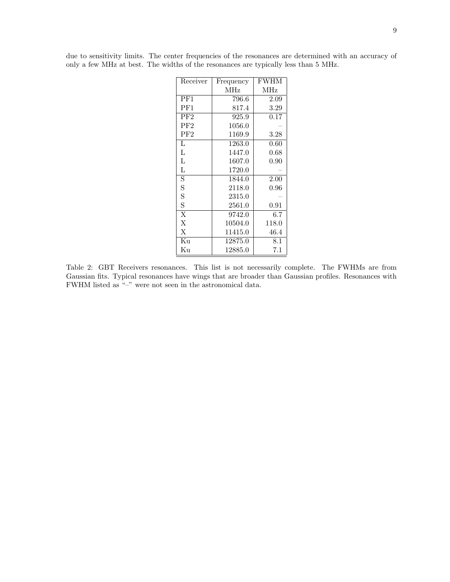| Receiver                | Frequency | <b>FWHM</b>       |
|-------------------------|-----------|-------------------|
|                         | MHz       | <b>MHz</b>        |
| PF <sub>1</sub>         | 796.6     | 2.09              |
| PF1                     | 817.4     | 3.29              |
| PF2                     | 925.9     | $\overline{0}.17$ |
| PF2                     | 1056.0    |                   |
| PF2                     | 1169.9    | 3.28              |
| L                       | 1263.0    | 0.60              |
| L                       | 1447.0    | 0.68              |
| Г                       | 1607.0    | 0.90              |
| L                       | 1720.0    |                   |
| $\overline{\mathbf{S}}$ | 1844.0    | 2.00              |
| S                       | 2118.0    | 0.96              |
| S                       | 2315.0    |                   |
| S                       | 2561.0    | 0.91              |
| X                       | 9742.0    | 6.7               |
| X                       | 10504.0   | 118.0             |
| X                       | 11415.0   | 46.4              |
| Kи                      | 12875.0   | 8.1               |
| Κu                      | 12885.0   | 7.1               |

due to sensitivity limits. The center frequencies of the resonances are determined with an accuracy of only a few MHz at best. The widths of the resonances are typically less than 5 MHz.

<span id="page-14-0"></span>Table 2: GBT Receivers resonances. This list is not necessarily complete. The FWHMs are from Gaussian fits. Typical resonances have wings that are broader than Gaussian profiles. Resonances with FWHM listed as "–" were not seen in the astronomical data.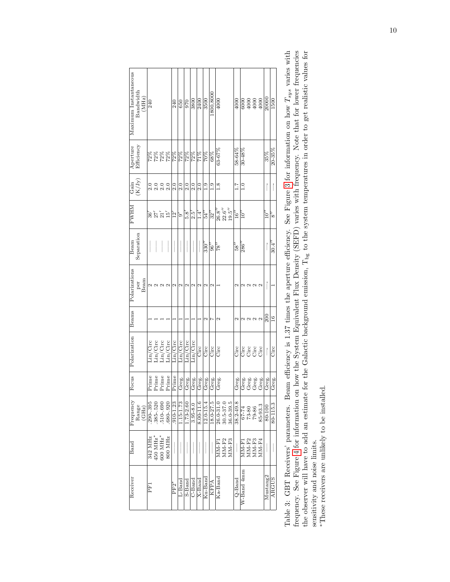| Maximum Instantaneous | ${\rm Bandwidth} \atop ({\rm MHz})$                             | 240         |                                                                                                                       |       |       | 240      | 650              | $\frac{0.6}{0}$ | 3800          | 2400          | 3500          | 1800,8000           | 4000              |                                                                     |                                                 | 4000            |                      |                                                    |                   |                   | $\frac{20000}{20000}$ | 1500            |
|-----------------------|-----------------------------------------------------------------|-------------|-----------------------------------------------------------------------------------------------------------------------|-------|-------|----------|------------------|-----------------|---------------|---------------|---------------|---------------------|-------------------|---------------------------------------------------------------------|-------------------------------------------------|-----------------|----------------------|----------------------------------------------------|-------------------|-------------------|-----------------------|-----------------|
|                       | Aperture<br>Efficiency                                          |             | 2<br>2222<br>2222                                                                                                     |       |       | 72%      | 72%              | 72%             | $72\%$        | $\frac{6}{2}$ | $\%0\%$       | 68%                 | 63-67%            |                                                                     |                                                 | 58-64%          | $30 - 48%$           |                                                    |                   |                   | 35%                   | $20 - 35\%$     |
| Gain                  | $(\mathrm{K}/\mathrm{Jy})$                                      |             | 0 0 0 0<br>2 2 2 2                                                                                                    |       |       | 2.0      | $\overline{2.0}$ | 2.0             | 2.0           | 2.0           | $\frac{1}{1}$ | $\frac{0}{1}$       | $\frac{8}{1}$     |                                                                     |                                                 | $\frac{1}{1}$   | $\frac{0}{1}$        |                                                    |                   |                   |                       |                 |
| <b>NRHWE</b>          |                                                                 |             | នក<br>25 ដ<br>15                                                                                                      |       |       | Þ        | ঌ                | $\frac{8}{5}$   | $2.5^{\circ}$ | .<br>न        | $54^{\circ}$  | $32^{\prime\prime}$ |                   | $\frac{26.8}{22.6}$<br>$\frac{67}{19.5}$                            |                                                 | $\frac{16}{10}$ | $\overline{10}'$     |                                                    |                   |                   | $\rm \bar{\rm 0}$     | জি              |
| Beam                  | Separation                                                      |             |                                                                                                                       |       |       |          |                  |                 |               |               | 330'          | 96''                | $\frac{1}{8}$     |                                                                     |                                                 | $^{1/8}$        | 286'                 |                                                    |                   |                   |                       | 30.4'           |
| Polarizations         | per<br>Beam                                                     | N           |                                                                                                                       | ¢     |       | 2        | 2                | 2               | 2             | 2             | 2             | 2                   |                   |                                                                     |                                                 | Z               | 2                    | $\mathbf{C}$                                       | $\mathbf{\Omega}$ | 2                 |                       |                 |
| Beams                 |                                                                 |             |                                                                                                                       |       |       |          |                  |                 |               |               | 2             | ŗ                   | $\mathbf{\Omega}$ |                                                                     |                                                 | 2               |                      | $\mathbf{c}$                                       | $\mathfrak{a}$    | $\mathbf{\Omega}$ | $\frac{8}{200}$       | $\overline{16}$ |
| Polarization          |                                                                 |             | Lin/Circ<br>Lin/Circ<br>Lin/Circ<br>Lin/Circ                                                                          |       |       | Lin/Circ | Lin/Circ         | Lin/Circ        | Lin/Circ      | Circ          | Circ          | Circ                | Circ              |                                                                     |                                                 | Circ            | <br>비용<br> - 이 이 이 이 |                                                    |                   |                   |                       | Girc            |
| Focus                 |                                                                 | Prime       | Prime                                                                                                                 | Prime | Prime | Prime    | Greg.            | Greg.           | Greg.         | Greg.         | Greg.         | Greg.               | Greg.             |                                                                     |                                                 | Greg.           |                      | Greg.<br>Greg.                                     | Greg.             | Greg.             | Greg.                 | Greg.           |
| Frequency             | $\begin{array}{c} \texttt{Range} \\ \texttt{(GHz)} \end{array}$ |             | $\begin{array}{r} \n 1.290 - 395 \\ - 385 - 520 \\ - 510 - 690 \\ - 690\n \end{array}$                                |       |       | 910-1.23 | $-15 - 1.73$     | $1.73 - 2.60$   | 3.95-8.0      | 8.00-11.6     | $12.0 - 15.4$ | 18.0-27.5           |                   |                                                                     | $26.0 - 31.0$<br>$30.5 - 37.0$<br>$36.0 - 39.5$ | $38.2 - 49.8$   |                      | $\frac{67-74}{73-80}$<br>73-80<br>79-86<br>85-93.3 |                   |                   | 80-100                | 80-115.3        |
| Band                  |                                                                 |             | $\begin{array}{c} 342\ \mathrm{MHz} \\ 450\ \mathrm{MHz}^* \\ 600\ \mathrm{MHz}^* \\ 800\ \mathrm{MHz}^* \end{array}$ |       |       |          |                  |                 |               |               |               |                     | $M M - F1$        | $\begin{array}{c} \rm MM\text{-}F2 \\ \rm MM\text{-}F3 \end{array}$ |                                                 |                 |                      | MM-F1<br>MM-F2<br>MM-F3<br>MM-F4                   |                   |                   |                       |                 |
| Receiver              |                                                                 | $_{\rm PT}$ |                                                                                                                       |       |       | $PF2*$   | $L$ -Band        | S-Band          | C-Band        | X-Band        | $Ku$ -Band    | <b>KFPA</b>         | Ka-Band           |                                                                     |                                                 | $Q$ -Band       | W-Band 4mm           |                                                    |                   |                   | Mustang2              | ARGUS           |

<span id="page-15-0"></span>

| Table 3: GBT Receivers' parameters. Beam efficiency is 1.37 times the aperture efficiency. See Figure 3 for information on how $T_{sys}$ varies with            |  |
|-----------------------------------------------------------------------------------------------------------------------------------------------------------------|--|
| requency. See Figure 4 for information on how the System Equivalent Flux Density (SEFD) varies with frequency. Note that for lower frequencies                  |  |
| the observer will have to add an estimate for the Galactic background emission, T <sub>bg</sub> to the system temperatures in order to get realistic values for |  |
| sensitivity and noise limits.                                                                                                                                   |  |
| 一个人的人,我们就是一个人的人,我们就是一个人的人,我们就是一个人的人,我们就是一个人的人,我们就是一个人的人,我们就是一个人的人,我们就是一个人的人,我们就是一                                                                               |  |

 $\displaystyle{^*$  These receivers are unlikely to be installed. ∗These receivers are unlikely to be installed.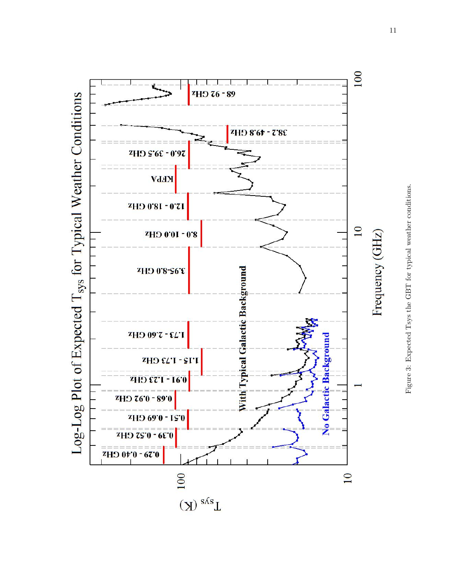



<span id="page-16-0"></span>11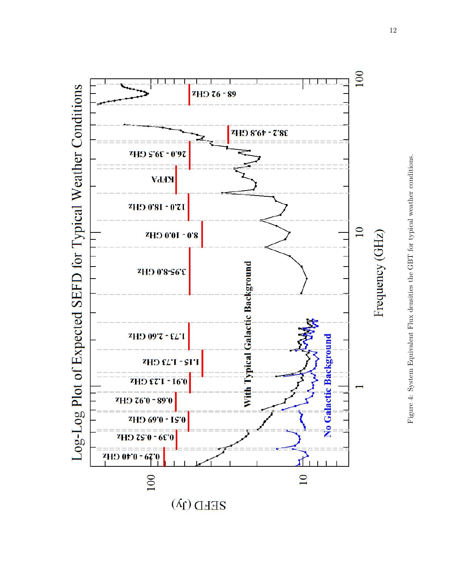



<span id="page-17-0"></span>12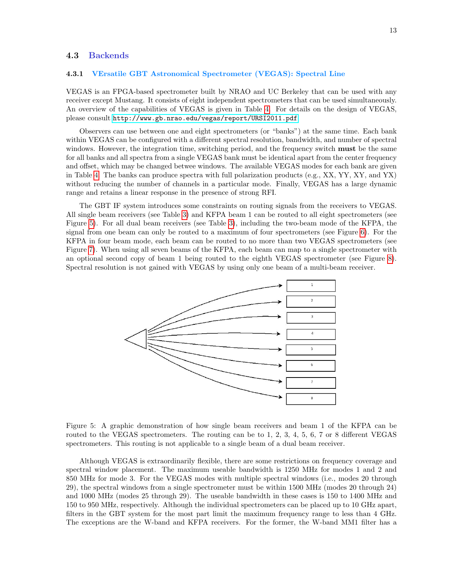#### <span id="page-18-0"></span>4.3 Backends

#### <span id="page-18-1"></span>4.3.1 VErsatile GBT Astronomical Spectrometer (VEGAS): Spectral Line

VEGAS is an FPGA-based spectrometer built by NRAO and UC Berkeley that can be used with any receiver except Mustang. It consists of eight independent spectrometers that can be used simultaneously. An overview of the capabilities of VEGAS is given in Table [4.](#page-19-0) For details on the design of VEGAS, please consult <http://www.gb.nrao.edu/vegas/report/URSI2011.pdf>.

Observers can use between one and eight spectrometers (or "banks") at the same time. Each bank within VEGAS can be configured with a different spectral resolution, bandwidth, and number of spectral windows. However, the integration time, switching period, and the frequency switch **must** be the same for all banks and all spectra from a single VEGAS bank must be identical apart from the center frequency and offset, which may be changed betwee windows. The available VEGAS modes for each bank are given in Table [4.](#page-19-0) The banks can produce spectra with full polarization products (e.g., XX, YY, XY, and YX) without reducing the number of channels in a particular mode. Finally, VEGAS has a large dynamic range and retains a linear response in the presence of strong RFI.

The GBT IF system introduces some constraints on routing signals from the receivers to VEGAS. All single beam receivers (see Table [3\)](#page-15-0) and KFPA beam 1 can be routed to all eight spectrometers (see Figure [5\)](#page-18-2). For all dual beam receivers (see Table [3\)](#page-15-0), including the two-beam mode of the KFPA, the signal from one beam can only be routed to a maximum of four spectrometers (see Figure [6\)](#page-20-0). For the KFPA in four beam mode, each beam can be routed to no more than two VEGAS spectrometers (see Figure [7\)](#page-20-1). When using all seven beams of the KFPA, each beam can map to a single spectrometer with an optional second copy of beam 1 being routed to the eighth VEGAS spectrometer (see Figure [8\)](#page-24-1). Spectral resolution is not gained with VEGAS by using only one beam of a multi-beam receiver.



<span id="page-18-2"></span>Figure 5: A graphic demonstration of how single beam receivers and beam 1 of the KFPA can be routed to the VEGAS spectrometers. The routing can be to 1, 2, 3, 4, 5, 6, 7 or 8 different VEGAS spectrometers. This routing is not applicable to a single beam of a dual beam receiver.

Although VEGAS is extraordinarily flexible, there are some restrictions on frequency coverage and spectral window placement. The maximum useable bandwidth is 1250 MHz for modes 1 and 2 and 850 MHz for mode 3. For the VEGAS modes with multiple spectral windows (i.e., modes 20 through 29), the spectral windows from a single spectrometer must be within 1500 MHz (modes 20 through 24) and 1000 MHz (modes 25 through 29). The useable bandwidth in these cases is 150 to 1400 MHz and 150 to 950 MHz, respectively. Although the individual spectrometers can be placed up to 10 GHz apart, filters in the GBT system for the most part limit the maximum frequency range to less than 4 GHz. The exceptions are the W-band and KFPA receivers. For the former, the W-band MM1 filter has a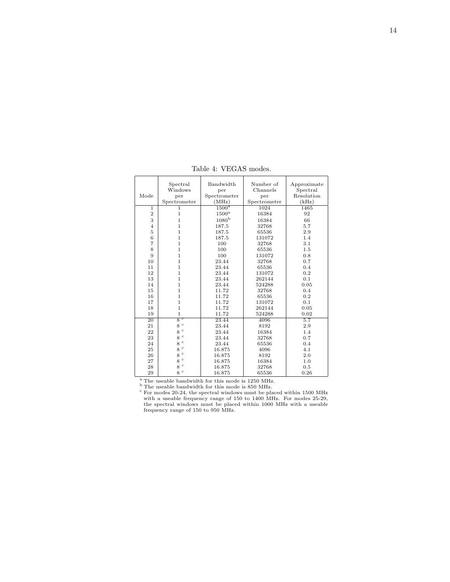|                 | Spectral        | Bandwidth           | Number of    | Approximate |
|-----------------|-----------------|---------------------|--------------|-------------|
|                 | Windows         | per                 | Channels     | Spectral    |
| Mode            | per             | Spectrometer        | per          | Resolution  |
|                 | Spectrometer    | (MHz)               | Spectrometer | (kHz)       |
| $\overline{1}$  | 1               | $1500^{\mathrm{a}}$ | 1024         | 1465        |
| $\overline{2}$  | $\mathbf{1}$    | $1500^{\mathrm{a}}$ | 16384        | 92          |
| 3               | $\mathbf{1}$    | 1080 <sup>b</sup>   | 16384        | 66          |
| $\overline{4}$  | $\mathbf{1}$    | 187.5               | 32768        | 5.7         |
| 5               | $\mathbf{1}$    | 187.5               | 65536        | 2.9         |
| 6               | $\mathbf{1}$    | 187.5               | 131072       | 1.4         |
| 7               | $\mathbf{1}$    | 100                 | 32768        | 3.1         |
| 8               | $\mathbf{1}$    | 100                 | 65536        | 1.5         |
| 9               | $\mathbf{1}$    | 100                 | 131072       | 0.8         |
| 10              | $\mathbf{1}$    | 23.44               | 32768        | 0.7         |
| 11              | $\mathbf{1}$    | 23.44               | 65536        | 0.4         |
| 12              | $\mathbf{1}$    | 23.44               | 131072       | 0.2         |
| 13              | $\mathbf{1}$    | 23.44               | 262144       | 0.1         |
| 14              | $\mathbf{1}$    | 23.44               | 524288       | 0.05        |
| 15              | $\mathbf{1}$    | 11.72               | 32768        | 0.4         |
| 16              | $\mathbf{1}$    | 11.72               | 65536        | 0.2         |
| 17              | $\mathbf{1}$    | 11.72               | 131072       | 0.1         |
| 18              | $\mathbf{1}$    | 11.72               | 262144       | 0.05        |
| 19              | $\mathbf{1}$    | 11.72               | 524288       | 0.02        |
| $\overline{20}$ | 8 <sup>c</sup>  | 23.44               | 4096         | 5.7         |
| 21              | $8~^{\rm c}$    | 23.44               | 8192         | 2.9         |
| 22              | $8\ ^{\rm c}$   | 23.44               | 16384        | 1.4         |
| 23              | $8~^{\rm c}$    | 23.44               | 32768        | 0.7         |
| 24              | $_{\rm c}$<br>8 | 23.44               | 65536        | 0.4         |
| 25              | $_{\rm c}$<br>8 | 16.875              | 4096         | 4.1         |
| 26              | $_{\rm c}$<br>8 | 16.875              | 8192         | 2.0         |
| 27              | $_{\rm c}$<br>8 | 16.875              | 16384        | 1.0         |
| 28              | $_{\rm c}$<br>8 | 16.875              | 32768        | 0.5         |
| 29              | 8 <sup>c</sup>  | 16.875              | 65536        | 0.26        |

<span id="page-19-0"></span>Table 4: VEGAS modes.

 $^{\rm a}$  The useable bandwidth for this mode is 1250 MHz.  $^{\rm b}$  The useable bandwidth for this mode is 850 MHz.  $^{\rm c}$  For modes 20-24, the spectral windows must be placed within 1500 MHz with a useable frequency range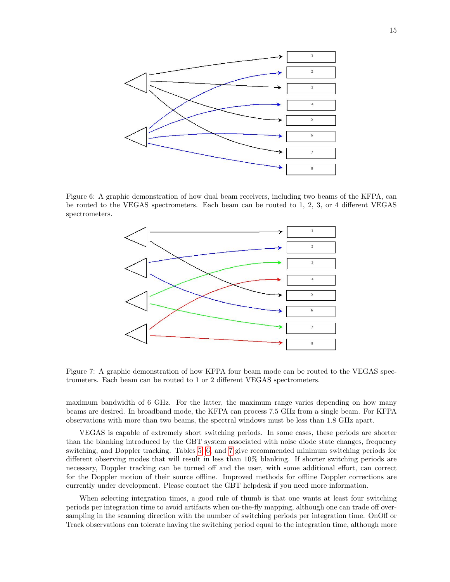

<span id="page-20-0"></span>Figure 6: A graphic demonstration of how dual beam receivers, including two beams of the KFPA, can be routed to the VEGAS spectrometers. Each beam can be routed to 1, 2, 3, or 4 different VEGAS spectrometers.



<span id="page-20-1"></span>Figure 7: A graphic demonstration of how KFPA four beam mode can be routed to the VEGAS spectrometers. Each beam can be routed to 1 or 2 different VEGAS spectrometers.

maximum bandwidth of 6 GHz. For the latter, the maximum range varies depending on how many beams are desired. In broadband mode, the KFPA can process 7.5 GHz from a single beam. For KFPA observations with more than two beams, the spectral windows must be less than 1.8 GHz apart.

VEGAS is capable of extremely short switching periods. In some cases, these periods are shorter than the blanking introduced by the GBT system associated with noise diode state changes, frequency switching, and Doppler tracking. Tables [5,](#page-21-0) [6,](#page-22-0) and [7](#page-23-0) give recommended minimum switching periods for different observing modes that will result in less than 10% blanking. If shorter switching periods are necessary, Doppler tracking can be turned off and the user, with some additional effort, can correct for the Doppler motion of their source offline. Improved methods for offline Doppler corrections are currently under development. Please contact the GBT helpdesk if you need more information.

When selecting integration times, a good rule of thumb is that one wants at least four switching periods per integration time to avoid artifacts when on-the-fly mapping, although one can trade off oversampling in the scanning direction with the number of switching periods per integration time. OnOff or Track observations can tolerate having the switching period equal to the integration time, although more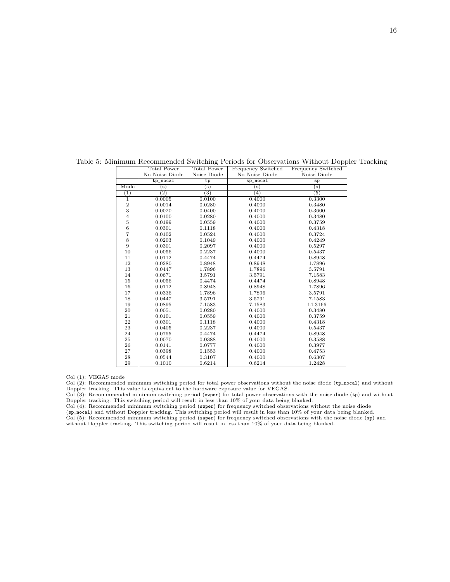<span id="page-21-0"></span>

|                  | <b>Total Power</b> | <b>Total Power</b> | Frequency Switched | Frequency Switched |  |
|------------------|--------------------|--------------------|--------------------|--------------------|--|
|                  | No Noise Diode     | Noise Diode        | No Noise Diode     | Noise Diode        |  |
|                  | tp_nocal           | tp                 | sp_nocal           | sp                 |  |
| Mode             | $(\rm s)$          | (s)                | $(\mathrm{s})$     | $(\mathrm{s})$     |  |
| $\left(1\right)$ | $\overline{2)}$    | $\overline{(3)}$   | $\left(4\right)$   | $\overline{(5)}$   |  |
| 1                | 0.0005             | 0.0100             | 0.4000             | 0.3300             |  |
| $\,2$            | 0.0014             | 0.0280             | 0.4000             | 0.3480             |  |
| 3                | 0.0020             | 0.0400             | 0.4000             | 0.3600             |  |
| $\bf{4}$         | 0.0100             | 0.0280             | 0.4000             | 0.3480             |  |
| $\bf 5$          | 0.0199             | 0.0559             | 0.4000             | 0.3759             |  |
| $\,6$            | 0.0301             | 0.1118             | 0.4000             | 0.4318             |  |
| $\overline{7}$   | 0.0102             | 0.0524             | 0.4000             | 0.3724             |  |
| 8                | 0.0203             | 0.1049             | 0.4000             | 0.4249             |  |
| $\overline{9}$   | 0.0301             | 0.2097             | 0.4000             | 0.5297             |  |
| 10               | 0.0056             | 0.2237             | 0.4000             | 0.5437             |  |
| 11               | 0.0112             | 0.4474             | 0.4474             | 0.8948             |  |
| 12               | 0.0280             | 0.8948             | 0.8948             | 1.7896             |  |
| 13               | 0.0447             | 1.7896             | 1.7896             | 3.5791             |  |
| 14               | 0.0671             | 3.5791             | 3.5791             | 7.1583             |  |
| 15               | 0.0056             | 0.4474             | 0.4474             | 0.8948             |  |
| 16               | 0.0112             | 0.8948             | 0.8948             | 1.7896             |  |
| 17               | 0.0336             | 1.7896             | 1.7896             | 3.5791             |  |
| 18               | 0.0447             | 3.5791             | 3.5791             | 7.1583             |  |
| 19               | 0.0895             | 7.1583             | 7.1583             | 14.3166            |  |
| 20               | 0.0051             | 0.0280             | 0.4000             | 0.3480             |  |
| 21               | 0.0101             | 0.0559             | 0.4000             | 0.3759             |  |
| 22               | 0.0301             | 0.1118             | 0.4000             | 0.4318             |  |
| 23               | 0.0405             | 0.2237             | 0.4000             | 0.5437             |  |
| 24               | 0.0755             | 0.4474             | 0.4474             | 0.8948             |  |
| 25               | 0.0070             | 0.0388             | 0.4000             | 0.3588             |  |
| 26               | 0.0141             | 0.0777             | 0.4000             | 0.3977             |  |
| 27               | 0.0398             | 0.1553             | 0.4000             | 0.4753             |  |
| 28               | 0.0544             | 0.3107             | 0.4000             | 0.6307             |  |
| 29               | 0.1010             | 0.6214             | 0.6214             | 1.2428             |  |

Table 5: Minimum Recommended Switching Periods for Observations Without Doppler Tracking

Col (1): VEGAS mode<br>Col (2): Recommended minimum switching period for total power observations without the noise diode (tp\_nocal) and without<br>Doppler tracking. This value is equivalent to the hardware exposure value for VE

Col (3): Recommmended minimum switching period (swper) for total power observations with the noise diode (tp) and without<br>Doppler tracking. This switching period will result in less than 10% of your data being blanked.<br>Col

Col (5): Recommended minimum switching period (swper) for frequency switched observations with the noise diode (sp) and without Doppler tracking. This switching period will result in less than 10% of your data being blanked.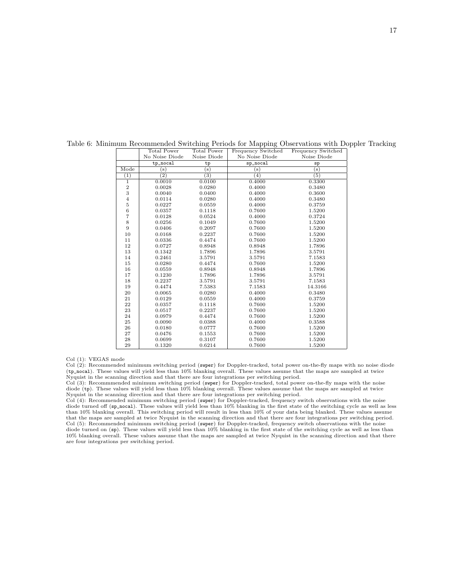<span id="page-22-0"></span>

|                  | Total Power      | Total Power      | Frequency Switched | Frequency Switched |  |  |
|------------------|------------------|------------------|--------------------|--------------------|--|--|
|                  | No Noise Diode   | Noise Diode      | No Noise Diode     | Noise Diode        |  |  |
|                  | tp_nocal         | tp               | sp_nocal           | sp                 |  |  |
| Mode             | $(\mathrm{s})$   | $(\mathbf{s})$   | $(\mathbf{s})$     | $(\rm s)$          |  |  |
| $\left(1\right)$ | $\overline{(2)}$ | $\overline{(3)}$ | (4)                | (5)                |  |  |
| 1                | 0.0010           | 0.0100           | 0.4000             | 0.3300             |  |  |
| $\,2$            | 0.0028           | 0.0280           | 0.4000             | 0.3480             |  |  |
| 3                | 0.0040           | 0.0400           | 0.4000             | 0.3600             |  |  |
| $\bf{4}$         | 0.0114           | 0.0280           | 0.4000             | 0.3480             |  |  |
| $\bf 5$          | 0.0227           | 0.0559           | 0.4000             | 0.3759             |  |  |
| $\,6$            | 0.0357           | 0.1118           | 0.7600             | 1.5200             |  |  |
| $\overline{7}$   | 0.0128           | 0.0524           | 0.4000             | 0.3724             |  |  |
| 8                | 0.0256           | 0.1049           | 0.7600             | 1.5200             |  |  |
| $\overline{9}$   | 0.0406           | 0.2097           | 0.7600             | 1.5200             |  |  |
| 10               | 0.0168           | 0.2237           | 0.7600             | 1.5200             |  |  |
| 11               | 0.0336           | 0.4474           | 0.7600             | 1.5200             |  |  |
| 12               | 0.0727           | 0.8948           | 0.8948             | 1.7896             |  |  |
| 13               | 0.1342           | 1.7896           | 1.7896             | 3.5791             |  |  |
| 14               | 0.2461           | 3.5791           | 3.5791             | 7.1583             |  |  |
| 15               | 0.0280           | 0.4474           | 0.7600             | 1.5200             |  |  |
| 16               | 0.0559           | 0.8948           | 0.8948             | 1.7896             |  |  |
| 17               | 0.1230           | 1.7896           | 1.7896             | 3.5791             |  |  |
| 18               | 0.2237           | 3.5791           | 3.5791             | 7.1583             |  |  |
| 19               | 0.4474           | 7.5383           | 7.1583             | 14.3166            |  |  |
| 20               | 0.0065           | 0.0280           | 0.4000             | 0.3480             |  |  |
| 21               | 0.0129           | 0.0559           | 0.4000             | 0.3759             |  |  |
| 22               | 0.0357           | 0.1118           | 0.7600             | 1.5200             |  |  |
| 23               | 0.0517           | 0.2237           | 0.7600             | 1.5200             |  |  |
| 24               | 0.0979           | 0.4474           | 0.7600             | 1.5200             |  |  |
| 25               | 0.0090           | 0.0388           | 0.4000             | 0.3588             |  |  |
| 26               | 0.0180           | 0.0777           | 0.7600             | 1.5200             |  |  |
| 27               | 0.0476           | 0.1553           | 0.7600             | 1.5200             |  |  |
| 28               | 0.0699           | 0.3107           | 0.7600             | 1.5200             |  |  |
| 29               | 0.1320           | 0.6214           | 0.7600             | 1.5200             |  |  |

Table 6: Minimum Recommended Switching Periods for Mapping Observations with Doppler Tracking

Col (1): VEGAS mode

Col (2): Recommended minimum switching period (swper) for Doppler-tracked, total power on-the-fly maps with no noise diode<br>(tp\_nocal). These values will yield less than 10% blanking overall. These values assume that the ma Nyquist in the scanning direction and that there are four integrations per switching period.

Col (3): Recommmended minimum switching period (swper) for Doppler-tracked, total power on-the-fly maps with the noise<br>diode (tp). These values will yield less than 10% blanking overall. These values assume that the maps a Nyquist in the scanning direction and that there are four integrations per switching period.

Col (4): Recommended minimum switching period (swper) for Doppler-tracked, frequency switch observations with the noise<br>diode turned off (sp\_nocal). These values will yield less than 10% blanking in the first state of the that the maps are sampled at twice Nyquist in the scanning direction and that there are four integrations per switching period. Col (5): Recommended minimum switching period (swper) for Doppler-tracked, frequency switch observations with the noise diode turned on (sp). These values will yield less than 10% blanking in the first state of the switching cycle as well as less than<br>10% blanking overall. These values assume that the maps are sampled at twice Nyquist in th are four integrations per switching period.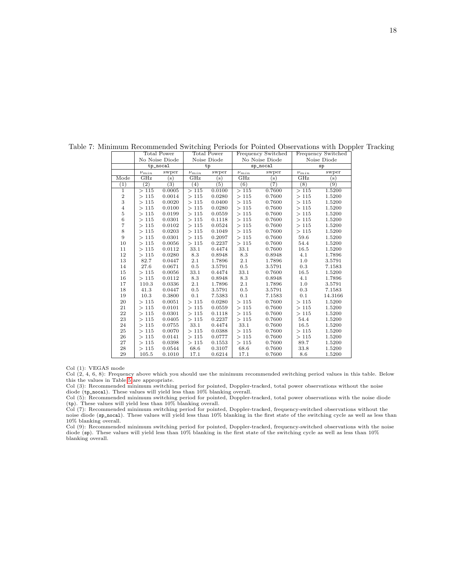<span id="page-23-0"></span>

|                   |                     | Total Power      |             | Total Power    |             | Frequency Switched | Frequency Switched      |           |  |  |
|-------------------|---------------------|------------------|-------------|----------------|-------------|--------------------|-------------------------|-----------|--|--|
|                   |                     | No Noise Diode   |             | Noise Diode    |             | No Noise Diode     | Noise Diode             |           |  |  |
|                   |                     | $tp\_nocal$      |             | tp             |             | $sp\_nocal$        |                         | sp        |  |  |
|                   | $\nu_{min}$         | swper            | $\nu_{min}$ | swper          | $\nu_{min}$ | swper              | $\nu_{min}$             | swper     |  |  |
| Mode              | GHz                 | $(\mathrm{s})$   | GHz         | $(\mathrm{s})$ | GHz         | $(\mathrm{s})$     | $\overline{\text{GHz}}$ | $(\rm s)$ |  |  |
| (1)               | $\overline{(2)}$    | $\overline{(3)}$ | (4)         | (5)            | (6)         | (7)                | (8)                     | (9)       |  |  |
| $\mathbf{1}$      | >115                | 0.0005           | >115        | 0.0100         | >115        | 0.7600             | >115                    | 1.5200    |  |  |
| $\,2$             | 115<br>$\,>$        | 0.0014           | >115        | 0.0280         | >115        | 0.7600             | 115<br>$\geq$           | 1.5200    |  |  |
| 3                 | 115<br>$\,>$        | 0.0020           | >115        | 0.0400         | >115        | 0.7600             | 115                     | 1.5200    |  |  |
| $\bf{4}$          | 115<br>$\gt$        | 0.0100           | >115        | 0.0280         | >115        | 0.7600             | 115<br>$\mathord{>}$    | 1.5200    |  |  |
| $\bf 5$           | 115<br>$\gt$        | 0.0199           | >115        | 0.0559         | >115        | 0.7600             | 115<br>↘                | 1.5200    |  |  |
| $\,6$             | 115<br>$\gt$        | 0.0301           | >115        | 0.1118         | >115        | 0.7600             | 115                     | 1.5200    |  |  |
| $\scriptstyle{7}$ | 115<br>$\gt$        | 0.0102           | >115        | 0.0524         | >115        | 0.7600             | 115                     | 1.5200    |  |  |
| 8                 | 115<br>$\,>$        | 0.0203           | >115        | 0.1049         | >115        | 0.7600             | >115                    | 1.5200    |  |  |
| 9                 | 115<br>$\rm{>}$     | 0.0301           | >115        | 0.2097         | >115        | 0.7600             | 59.6                    | 1.5200    |  |  |
| 10                | 115<br>$\rm{>}$     | 0.0056           | >115        | 0.2237         | $>115$      | 0.7600             | 54.4                    | 1.5200    |  |  |
| 11                | 115<br>$\gt$        | 0.0112           | 33.1        | 0.4474         | 33.1        | 0.7600             | 16.5                    | 1.5200    |  |  |
| 12                | >115                | 0.0280           | 8.3         | 0.8948         | 8.3         | 0.8948             | 4.1                     | 1.7896    |  |  |
| 13                | 82.7                | 0.0447           | 2.1         | 1.7896         | 2.1         | 1.7896             | 1.0                     | 3.5791    |  |  |
| 14                | 27.6                | 0.0671           | 0.5         | 3.5791         | 0.5         | 3.5791             | $\rm 0.3$               | 7.1583    |  |  |
| 15                | >115                | 0.0056           | 33.1        | 0.4474         | 33.1        | 0.7600             | 16.5                    | 1.5200    |  |  |
| 16                | >115                | 0.0112           | 8.3         | 0.8948         | 8.3         | 0.8948             | 4.1                     | 1.7896    |  |  |
| 17                | 110.3               | 0.0336           | 2.1         | 1.7896         | 2.1         | 1.7896             | 1.0                     | 3.5791    |  |  |
| 18                | 41.3                | 0.0447           | 0.5         | 3.5791         | 0.5         | 3.5791             | 0.3                     | 7.1583    |  |  |
| 19                | 10.3                | 0.3800           | 0.1         | 7.5383         | 0.1         | 7.1583             | 0.1                     | 14.3166   |  |  |
| 20                | >115                | 0.0051           | >115        | 0.0280         | >115        | 0.7600             | >115                    | 1.5200    |  |  |
| 21                | >115                | 0.0101           | >115        | 0.0559         | >115        | 0.7600             | >115                    | 1.5200    |  |  |
| 22                | >115                | 0.0301           | >115        | 0.1118         | >115        | 0.7600             | >115                    | 1.5200    |  |  |
| 23                | 115<br>$\mathbf{r}$ | 0.0405           | >115        | 0.2237         | >115        | 0.7600             | 54.4                    | 1.5200    |  |  |
| 24                | 115<br>$\gt$        | 0.0755           | 33.1        | 0.4474         | 33.1        | 0.7600             | 16.5                    | 1.5200    |  |  |
| 25                | 115<br>$\gt$        | 0.0070           | >115        | 0.0388         | >115        | 0.7600             | >115                    | 1.5200    |  |  |
| 26                | 115<br>$\gt$        | 0.0141           | >115        | 0.0777         | >115        | 0.7600             | >115                    | 1.5200    |  |  |
| 27                | 115<br>$\gt$        | 0.0398           | >115        | 0.1553         | >115        | 0.7600             | 89.7                    | 1.5200    |  |  |
| 28                | >115                | 0.0544           | 68.6        | 0.3107         | 68.6        | 0.7600             | 33.8                    | 1.5200    |  |  |
| 29                | 105.5               | 0.1010           | 17.1        | 0.6214         | 17.1        | 0.7600             | 8.6                     | 1.5200    |  |  |

Table 7: Minimum Recommended Switching Periods for Pointed Observations with Doppler Tracking

Col (1): VEGAS mode

Col (2, 4, 6, 8): Frequency above which you should use the minimum recommended switching period values in this table. Below this the values in Table [5](#page-21-0) are appropriate.

Col (3): Recommended minimum switching period for pointed, Doppler-tracked, total power observations without the noise diode (tp\_nocal). These values will yield less than 10% blanking overall.

Col (5): Recommended minimum switching period for pointed, Doppler-tracked, total power observations with the noise diode (tp). These values will yield less than 10% blanking overall.

Col (7): Recommended minimum switching period for pointed, Doppler-tracked, frequency-switched observations without the noise diode (sp\_nocal). These values will yield less than 10% blanking in the first state of the switching cycle as well as less than 10% blanking overall.

Col (9): Recommended minimum switching period for pointed, Doppler-tracked, frequency-switched observations with the noise<br>diode (sp). These values will yield less than 10% blanking in the first state of the switching cycl blanking overall.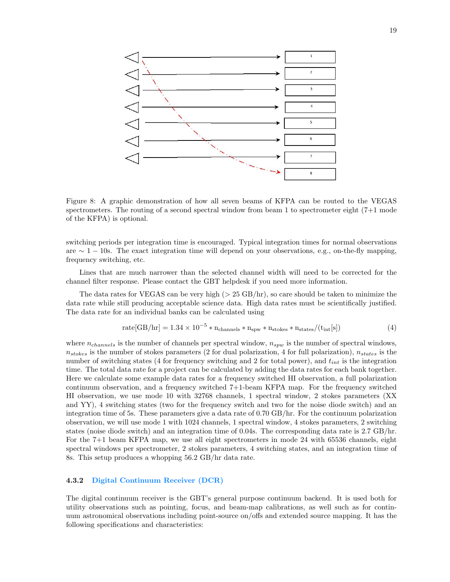

<span id="page-24-1"></span>Figure 8: A graphic demonstration of how all seven beams of KFPA can be routed to the VEGAS spectrometers. The routing of a second spectral window from beam 1 to spectrometer eight (7+1 mode of the KFPA) is optional.

switching periods per integration time is encouraged. Typical integration times for normal observations are ∼ 1 − 10s. The exact integration time will depend on your observations, e.g., on-the-fly mapping, frequency switching, etc.

Lines that are much narrower than the selected channel width will need to be corrected for the channel filter response. Please contact the GBT helpdesk if you need more information.

The data rates for VEGAS can be very high  $(> 25 \text{ GB/hr})$ , so care should be taken to minimize the data rate while still producing acceptable science data. High data rates must be scientifically justified. The data rate for an individual banks can be calculated using

$$
rate[GB/hr] = 1.34 \times 10^{-5} * n_{channels} * n_{spw} * n_{stokes} * n_{states}/(t_{int}[s])
$$
\n(4)

where  $n_{channels}$  is the number of channels per spectral window,  $n_{spw}$  is the number of spectral windows,  $n_{stokes}$  is the number of stokes parameters (2 for dual polarization, 4 for full polarization),  $n_{states}$  is the number of switching states (4 for frequency switching and 2 for total power), and  $t_{int}$  is the integration time. The total data rate for a project can be calculated by adding the data rates for each bank together. Here we calculate some example data rates for a frequency switched HI observation, a full polarization continuum observation, and a frequency switched 7+1-beam KFPA map. For the frequency switched HI observation, we use mode 10 with 32768 channels, 1 spectral window, 2 stokes parameters (XX and YY), 4 switching states (two for the frequency switch and two for the noise diode switch) and an integration time of 5s. These parameters give a data rate of 0.70 GB/hr. For the continuum polarization observation, we will use mode 1 with 1024 channels, 1 spectral window, 4 stokes parameters, 2 switching states (noise diode switch) and an integration time of 0.04s. The corresponding data rate is 2.7 GB/hr. For the 7+1 beam KFPA map, we use all eight spectrometers in mode 24 with 65536 channels, eight spectral windows per spectrometer, 2 stokes parameters, 4 switching states, and an integration time of 8s. This setup produces a whopping 56.2 GB/hr data rate.

#### <span id="page-24-0"></span>4.3.2 Digital Continuum Receiver (DCR)

The digital continuum receiver is the GBT's general purpose continuum backend. It is used both for utility observations such as pointing, focus, and beam-map calibrations, as well such as for continuum astronomical observations including point-source on/offs and extended source mapping. It has the following specifications and characteristics: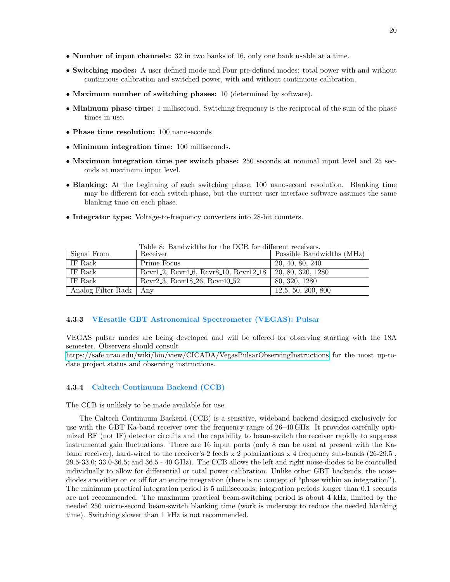- Number of input channels: 32 in two banks of 16, only one bank usable at a time.
- Switching modes: A user defined mode and Four pre-defined modes: total power with and without continuous calibration and switched power, with and without continuous calibration.
- Maximum number of switching phases: 10 (determined by software).
- Minimum phase time: 1 millisecond. Switching frequency is the reciprocal of the sum of the phase times in use.
- Phase time resolution: 100 nanoseconds
- Minimum integration time: 100 milliseconds.
- Maximum integration time per switch phase: 250 seconds at nominal input level and 25 seconds at maximum input level.
- Blanking: At the beginning of each switching phase, 100 nanosecond resolution. Blanking time may be different for each switch phase, but the current user interface software assumes the same blanking time on each phase.
- Integrator type: Voltage-to-frequency converters into 28-bit counters.

| Signal From              | Receiver                              | Possible Bandwidths (MHz) |
|--------------------------|---------------------------------------|---------------------------|
| IF Rack                  | Prime Focus                           | 20, 40, 80, 240           |
| IF Rack                  | Revr1_2, Revr4_6, Revr8_10, Revr12_18 | 20, 80, 320, 1280         |
| IF Rack                  | Revr2_3, Revr18_26, Revr40_52         | 80, 320, 1280             |
| Analog Filter Rack   Any |                                       | 12.5, 50, 200, 800        |

<span id="page-25-2"></span>Table 8: Bandwidths for the DCR for different receivers.

#### <span id="page-25-0"></span>4.3.3 VErsatile GBT Astronomical Spectrometer (VEGAS): Pulsar

VEGAS pulsar modes are being developed and will be offered for observing starting with the 18A semester. Observers should consult

<https://safe.nrao.edu/wiki/bin/view/CICADA/VegasPulsarObservingInstructions> for the most up-todate project status and observing instructions.

#### <span id="page-25-1"></span>4.3.4 Caltech Continuum Backend (CCB)

The CCB is unlikely to be made available for use.

The Caltech Continuum Backend (CCB) is a sensitive, wideband backend designed exclusively for use with the GBT Ka-band receiver over the frequency range of 26–40 GHz. It provides carefully optimized RF (not IF) detector circuits and the capability to beam-switch the receiver rapidly to suppress instrumental gain fluctuations. There are 16 input ports (only 8 can be used at present with the Kaband receiver), hard-wired to the receiver's 2 feeds x 2 polarizations x 4 frequency sub-bands (26-29.5). 29.5-33.0; 33.0-36.5; and 36.5 - 40 GHz). The CCB allows the left and right noise-diodes to be controlled individually to allow for differential or total power calibration. Unlike other GBT backends, the noisediodes are either on or off for an entire integration (there is no concept of "phase within an integration"). The minimum practical integration period is 5 milliseconds; integration periods longer than 0.1 seconds are not recommended. The maximum practical beam-switching period is about 4 kHz, limited by the needed 250 micro-second beam-switch blanking time (work is underway to reduce the needed blanking time). Switching slower than 1 kHz is not recommended.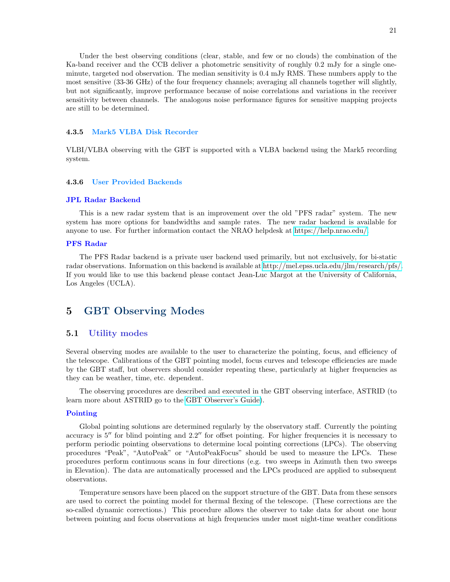Under the best observing conditions (clear, stable, and few or no clouds) the combination of the Ka-band receiver and the CCB deliver a photometric sensitivity of roughly 0.2 mJy for a single oneminute, targeted nod observation. The median sensitivity is 0.4 mJy RMS. These numbers apply to the most sensitive (33-36 GHz) of the four frequency channels; averaging all channels together will slightly, but not significantly, improve performance because of noise correlations and variations in the receiver sensitivity between channels. The analogous noise performance figures for sensitive mapping projects are still to be determined.

#### <span id="page-26-0"></span>4.3.5 Mark5 VLBA Disk Recorder

VLBI/VLBA observing with the GBT is supported with a VLBA backend using the Mark5 recording system.

#### <span id="page-26-1"></span>4.3.6 User Provided Backends

#### JPL Radar Backend

This is a new radar system that is an improvement over the old "PFS radar" system. The new system has more options for bandwidths and sample rates. The new radar backend is available for anyone to use. For further information contact the NRAO helpdesk at [https://help.nrao.edu/.](https://help.nrao.edu/)

#### PFS Radar

The PFS Radar backend is a private user backend used primarily, but not exclusively, for bi-static radar observations. Information on this backend is available at [http://mel.epss.ucla.edu/jlm/research/pfs/.](http://mel.epss.ucla.edu/jlm/research/pfs/) If you would like to use this backend please contact Jean-Luc Margot at the University of California, Los Angeles (UCLA).

# <span id="page-26-2"></span>5 GBT Observing Modes

#### <span id="page-26-3"></span>5.1 Utility modes

Several observing modes are available to the user to characterize the pointing, focus, and efficiency of the telescope. Calibrations of the GBT pointing model, focus curves and telescope efficiencies are made by the GBT staff, but observers should consider repeating these, particularly at higher frequencies as they can be weather, time, etc. dependent.

The observing procedures are described and executed in the GBT observing interface, ASTRID (to learn more about ASTRID go to the [GBT Observer's Guide\)](https://science.nrao.edu/facilities/gbt/observing/GBTog.pdf).

#### Pointing

Global pointing solutions are determined regularly by the observatory staff. Currently the pointing accuracy is 5" for blind pointing and 2.2" for offset pointing. For higher frequencies it is necessary to perform periodic pointing observations to determine local pointing corrections (LPCs). The observing procedures "Peak", "AutoPeak" or "AutoPeakFocus" should be used to measure the LPCs. These procedures perform continuous scans in four directions (e.g. two sweeps in Azimuth then two sweeps in Elevation). The data are automatically processed and the LPCs produced are applied to subsequent observations.

Temperature sensors have been placed on the support structure of the GBT. Data from these sensors are used to correct the pointing model for thermal flexing of the telescope. (These corrections are the so-called dynamic corrections.) This procedure allows the observer to take data for about one hour between pointing and focus observations at high frequencies under most night-time weather conditions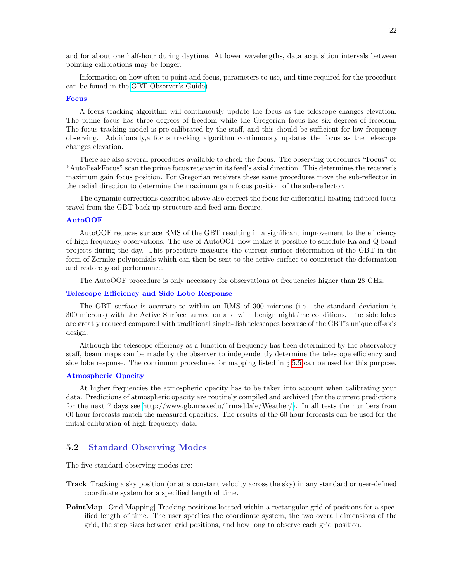and for about one half-hour during daytime. At lower wavelengths, data acquisition intervals between pointing calibrations may be longer.

Information on how often to point and focus, parameters to use, and time required for the procedure can be found in the [GBT Observer's Guide\)](https://science.nrao.edu/facilities/gbt/observing/GBTog.pdf).

#### Focus

A focus tracking algorithm will continuously update the focus as the telescope changes elevation. The prime focus has three degrees of freedom while the Gregorian focus has six degrees of freedom. The focus tracking model is pre-calibrated by the staff, and this should be sufficient for low frequency observing. Additionally,a focus tracking algorithm continuously updates the focus as the telescope changes elevation.

There are also several procedures available to check the focus. The observing procedures "Focus" or "AutoPeakFocus" scan the prime focus receiver in its feed's axial direction. This determines the receiver's maximum gain focus position. For Gregorian receivers these same procedures move the sub-reflector in the radial direction to determine the maximum gain focus position of the sub-reflector.

The dynamic-corrections described above also correct the focus for differential-heating-induced focus travel from the GBT back-up structure and feed-arm flexure.

#### AutoOOF

AutoOOF reduces surface RMS of the GBT resulting in a significant improvement to the efficiency of high frequency observations. The use of AutoOOF now makes it possible to schedule Ka and Q band projects during the day. This procedure measures the current surface deformation of the GBT in the form of Zernike polynomials which can then be sent to the active surface to counteract the deformation and restore good performance.

The AutoOOF procedure is only necessary for observations at frequencies higher than 28 GHz.

#### Telescope Efficiency and Side Lobe Response

The GBT surface is accurate to within an RMS of 300 microns (i.e. the standard deviation is 300 microns) with the Active Surface turned on and with benign nighttime conditions. The side lobes are greatly reduced compared with traditional single-dish telescopes because of the GBT's unique off-axis design.

Although the telescope efficiency as a function of frequency has been determined by the observatory staff, beam maps can be made by the observer to independently determine the telescope efficiency and side lobe response. The continuum procedures for mapping listed in § [5.5](#page-30-0) can be used for this purpose.

#### Atmospheric Opacity

At higher frequencies the atmospheric opacity has to be taken into account when calibrating your data. Predictions of atmospheric opacity are routinely compiled and archived (for the current predictions for the next 7 days see [http://www.gb.nrao.edu/˜rmaddale/Weather/\)](http://www.gb.nrao.edu/~rmaddale/Weather/). In all tests the numbers from 60 hour forecasts match the measured opacities. The results of the 60 hour forecasts can be used for the initial calibration of high frequency data.

#### <span id="page-27-0"></span>5.2 Standard Observing Modes

The five standard observing modes are:

- Track Tracking a sky position (or at a constant velocity across the sky) in any standard or user-defined coordinate system for a specified length of time.
- PointMap [Grid Mapping] Tracking positions located within a rectangular grid of positions for a specified length of time. The user specifies the coordinate system, the two overall dimensions of the grid, the step sizes between grid positions, and how long to observe each grid position.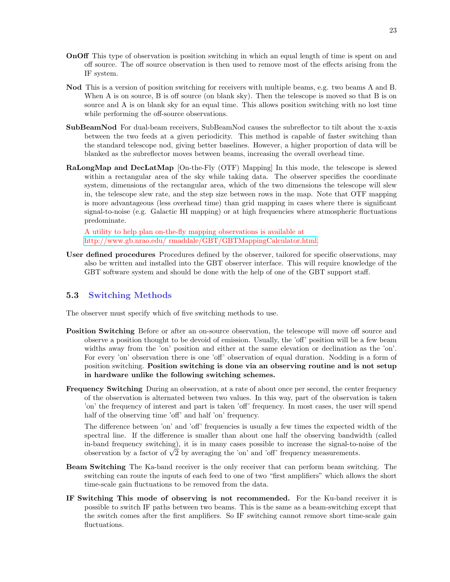- OnOff This type of observation is position switching in which an equal length of time is spent on and off source. The off source observation is then used to remove most of the effects arising from the IF system.
- Nod This is a version of position switching for receivers with multiple beams, e.g. two beams A and B. When A is on source, B is off source (on blank sky). Then the telescope is moved so that B is on source and A is on blank sky for an equal time. This allows position switching with no lost time while performing the off-source observations.
- SubBeamNod For dual-beam receivers, SubBeamNod causes the subreflector to tilt about the x-axis between the two feeds at a given periodicity. This method is capable of faster switching than the standard telescope nod, giving better baselines. However, a higher proportion of data will be blanked as the subreflector moves between beams, increasing the overall overhead time.
- RaLongMap and DecLatMap [On-the-Fly (OTF) Mapping] In this mode, the telescope is slewed within a rectangular area of the sky while taking data. The observer specifies the coordinate system, dimensions of the rectangular area, which of the two dimensions the telescope will slew in, the telescope slew rate, and the step size between rows in the map. Note that OTF mapping is more advantageous (less overhead time) than grid mapping in cases where there is significant signal-to-noise (e.g. Galactic HI mapping) or at high frequencies where atmospheric fluctuations predominate.

A utility to help plan on-the-fly mapping observations is available at [http://www.gb.nrao.edu/ rmaddale/GBT/GBTMappingCalculator.html.](http://www.gb.nrao.edu/~rmaddale/GBT/GBTMappingCalculator.html)

User defined procedures Procedures defined by the observer, tailored for specific observations, may also be written and installed into the GBT observer interface. This will require knowledge of the GBT software system and should be done with the help of one of the GBT support staff.

## <span id="page-28-0"></span>5.3 Switching Methods

The observer must specify which of five switching methods to use.

- Position Switching Before or after an on-source observation, the telescope will move off source and observe a position thought to be devoid of emission. Usually, the 'off' position will be a few beam widths away from the 'on' position and either at the same elevation or declination as the 'on'. For every 'on' observation there is one 'off' observation of equal duration. Nodding is a form of position switching. Position switching is done via an observing routine and is not setup in hardware unlike the following switching schemes.
- Frequency Switching During an observation, at a rate of about once per second, the center frequency of the observation is alternated between two values. In this way, part of the observation is taken 'on' the frequency of interest and part is taken 'off' frequency. In most cases, the user will spend half of the observing time 'off' and half 'on' frequency.

The difference between 'on' and 'off' frequencies is usually a few times the expected width of the spectral line. If the difference is smaller than about one half the observing bandwidth (called in-band frequency switching), it is in many cases possible to increase the signal-to-noise of the m-band frequency switching), it is in many cases possible to increase the signai-to-r observation by a factor of  $\sqrt{2}$  by averaging the 'on' and 'off' frequency measurements.

- Beam Switching The Ka-band receiver is the only receiver that can perform beam switching. The switching can route the inputs of each feed to one of two "first amplifiers" which allows the short time-scale gain fluctuations to be removed from the data.
- IF Switching This mode of observing is not recommended. For the Ku-band receiver it is possible to switch IF paths between two beams. This is the same as a beam-switching except that the switch comes after the first amplifiers. So IF switching cannot remove short time-scale gain fluctuations.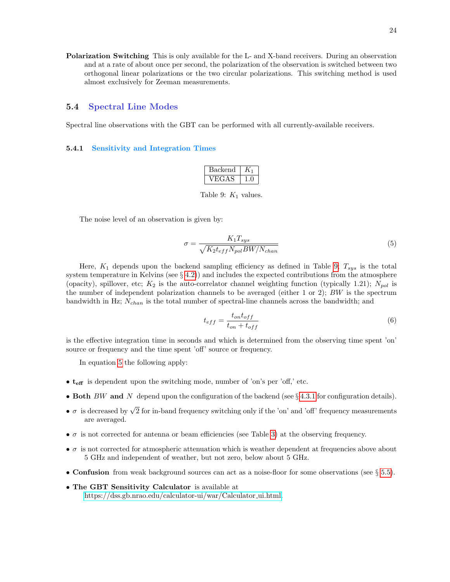Polarization Switching This is only available for the L- and X-band receivers. During an observation and at a rate of about once per second, the polarization of the observation is switched between two orthogonal linear polarizations or the two circular polarizations. This switching method is used almost exclusively for Zeeman measurements.

#### <span id="page-29-0"></span>5.4 Spectral Line Modes

Spectral line observations with the GBT can be performed with all currently-available receivers.

#### <span id="page-29-1"></span>5.4.1 Sensitivity and Integration Times

| Backend |  |
|---------|--|
|         |  |

<span id="page-29-2"></span>Table 9:  $K_1$  values.

The noise level of an observation is given by:

<span id="page-29-3"></span>
$$
\sigma = \frac{K_1 T_{sys}}{\sqrt{K_2 t_{eff} N_{pol} BW / N_{chan}}} \tag{5}
$$

Here,  $K_1$  depends upon the backend sampling efficiency as defined in Table [9;](#page-29-2)  $T_{sys}$  is the total system temperature in Kelvins (see  $\S 4.2$ )) and includes the expected contributions from the atmosphere (opacity), spillover, etc;  $K_2$  is the auto-correlator channel weighting function (typically 1.21);  $N_{pol}$  is the number of independent polarization channels to be averaged (either 1 or 2); BW is the spectrum bandwidth in Hz;  $N_{chan}$  is the total number of spectral-line channels across the bandwidth; and

<span id="page-29-4"></span>
$$
t_{eff} = \frac{t_{on}t_{off}}{t_{on} + t_{off}}
$$
\n
$$
\tag{6}
$$

is the effective integration time in seconds and which is determined from the observing time spent 'on' source or frequency and the time spent 'off' source or frequency.

In equation [5](#page-29-3) the following apply:

- $\bullet$  t<sub>eff</sub> is dependent upon the switching mode, number of 'on's per 'off,' etc.
- Both BW and N depend upon the configuration of the backend (see  $\S 4.3.1$  $\S 4.3.1$  for configuration details).
- $\sigma$  is decreased by  $\sqrt{2}$  for in-band frequency switching only if the 'on' and 'off' frequency measurements are averaged.
- $\bullet$   $\sigma$  is not corrected for antenna or beam efficiencies (see Table [3\)](#page-15-0) at the observing frequency.
- $\bullet$   $\sigma$  is not corrected for atmospheric attenuation which is weather dependent at frequencies above about 5 GHz and independent of weather, but not zero, below about 5 GHz.
- **Confusion** from weak background sources can act as a noise-floor for some observations (see  $\S 5.5$ ).
- The GBT Sensitivity Calculator is available at [https://dss.gb.nrao.edu/calculator-ui/war/Calculator](https://dss.gb.nrao.edu/calculator-ui/war/Calculator_ui.html)\_ui.html.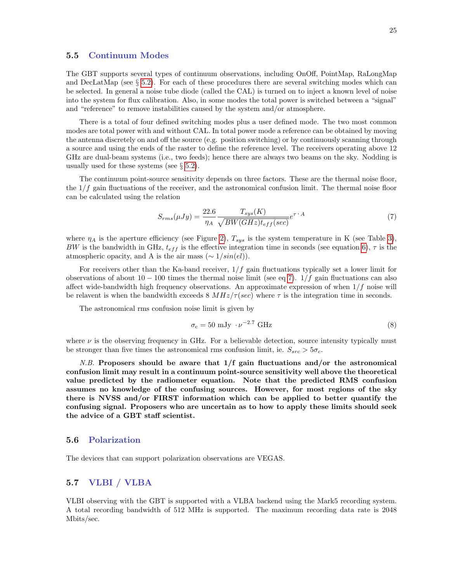#### <span id="page-30-0"></span>5.5 Continuum Modes

The GBT supports several types of continuum observations, including OnOff, PointMap, RaLongMap and DecLatMap (see  $\S 5.2$ ). For each of these procedures there are several switching modes which can be selected. In general a noise tube diode (called the CAL) is turned on to inject a known level of noise into the system for flux calibration. Also, in some modes the total power is switched between a "signal" and "reference" to remove instabilities caused by the system and/or atmosphere.

There is a total of four defined switching modes plus a user defined mode. The two most common modes are total power with and without CAL. In total power mode a reference can be obtained by moving the antenna discretely on and off the source (e.g. position switching) or by continuously scanning through a source and using the ends of the raster to define the reference level. The receivers operating above 12 GHz are dual-beam systems (i.e., two feeds); hence there are always two beams on the sky. Nodding is usually used for these systems (see  $\S 5.2$ ).

The continuum point-source sensitivity depends on three factors. These are the thermal noise floor, the  $1/f$  gain fluctuations of the receiver, and the astronomical confusion limit. The thermal noise floor can be calculated using the relation

<span id="page-30-3"></span>
$$
S_{rms}(\mu Jy) = \frac{22.6}{\eta_A} \frac{T_{sys}(K)}{\sqrt{BW(GHz)t_{eff}(sec)}} e^{\tau \cdot A}
$$
\n(7)

where  $\eta_A$  is the aperture efficiency (see Figure [2\)](#page-10-3),  $T_{sys}$  is the system temperature in K (see Table [3\)](#page-15-0), BW is the bandwidth in GHz,  $t_{eff}$  is the effective integration time in seconds (see equation [6\)](#page-29-4),  $\tau$  is the atmospheric opacity, and A is the air mass  $(∼ 1/sin(el)).$ 

For receivers other than the Ka-band receiver,  $1/f$  gain fluctuations typically set a lower limit for observations of about  $10 - 100$  times the thermal noise limit (see eq [7\)](#page-30-3).  $1/f$  gain fluctuations can also affect wide-bandwidth high frequency observations. An approximate expression of when  $1/f$  noise will be relavent is when the bandwidth exceeds 8  $MHz/\tau (sec)$  where  $\tau$  is the integration time in seconds.

The astronomical rms confusion noise limit is given by

$$
\sigma_{\rm c} = 50 \text{ mJy} \cdot \nu^{-2.7} \text{ GHz} \tag{8}
$$

where  $\nu$  is the observing frequency in GHz. For a believable detection, source intensity typically must be stronger than five times the astronomical rms confusion limit, ie.  $S_{src} > 5\sigma_c$ .

N.B. Proposers should be aware that  $1/f$  gain fluctuations and/or the astronomical confusion limit may result in a continuum point-source sensitivity well above the theoretical value predicted by the radiometer equation. Note that the predicted RMS confusion assumes no knowledge of the confusing sources. However, for most regions of the sky there is NVSS and/or FIRST information which can be applied to better quantify the confusing signal. Proposers who are uncertain as to how to apply these limits should seek the advice of a GBT staff scientist.

#### <span id="page-30-1"></span>5.6 Polarization

The devices that can support polarization observations are VEGAS.

### <span id="page-30-2"></span>5.7 VLBI / VLBA

VLBI observing with the GBT is supported with a VLBA backend using the Mark5 recording system. A total recording bandwidth of 512 MHz is supported. The maximum recording data rate is 2048 Mbits/sec.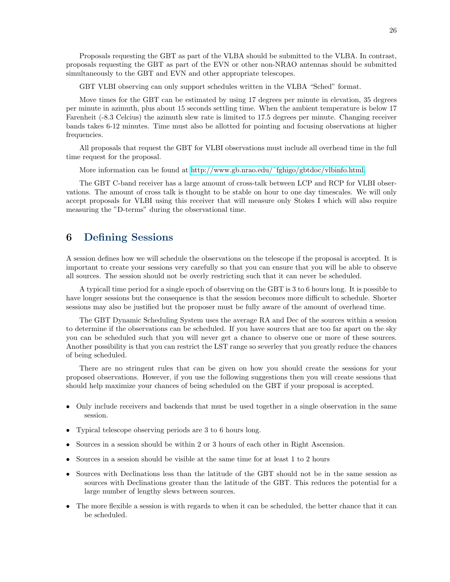Proposals requesting the GBT as part of the VLBA should be submitted to the VLBA. In contrast, proposals requesting the GBT as part of the EVN or other non-NRAO antennas should be submitted simultaneously to the GBT and EVN and other appropriate telescopes.

GBT VLBI observing can only support schedules written in the VLBA "Sched" format.

Move times for the GBT can be estimated by using 17 degrees per minute in elevation, 35 degrees per minute in azimuth, plus about 15 seconds settling time. When the ambient temperature is below 17 Farenheit (-8.3 Celcius) the azimuth slew rate is limited to 17.5 degrees per minute. Changing receiver bands takes 6-12 minutes. Time must also be allotted for pointing and focusing observations at higher frequencies.

All proposals that request the GBT for VLBI observations must include all overhead time in the full time request for the proposal.

More information can be found at [http://www.gb.nrao.edu/˜fghigo/gbtdoc/vlbinfo.html.](http://www.gb.nrao.edu/~fghigo/gbtdoc/vlbinfo.html)

The GBT C-band receiver has a large amount of cross-talk between LCP and RCP for VLBI observations. The amount of cross talk is thought to be stable on hour to one day timescales. We will only accept proposals for VLBI using this receiver that will measure only Stokes I which will also require measuring the "D-terms" during the observational time.

# <span id="page-31-0"></span>6 Defining Sessions

A session defines how we will schedule the observations on the telescope if the proposal is accepted. It is important to create your sessions very carefully so that you can ensure that you will be able to observe all sources. The session should not be overly restricting such that it can never be scheduled.

A typicall time period for a single epoch of observing on the GBT is 3 to 6 hours long. It is possible to have longer sessions but the consequence is that the session becomes more difficult to schedule. Shorter sessions may also be justified but the proposer must be fully aware of the amount of overhead time.

The GBT Dynamic Scheduling System uses the average RA and Dec of the sources within a session to determine if the observations can be scheduled. If you have sources that are too far apart on the sky you can be scheduled such that you will never get a chance to observe one or more of these sources. Another possibility is that you can restrict the LST range so severley that you greatly reduce the chances of being scheduled.

There are no stringent rules that can be given on how you should create the sessions for your proposed observations. However, if you use the following suggestions then you will create sessions that should help maximize your chances of being scheduled on the GBT if your proposal is accepted.

- Only include receivers and backends that must be used together in a single observation in the same session.
- Typical telescope observing periods are 3 to 6 hours long.
- Sources in a session should be within 2 or 3 hours of each other in Right Ascension.
- Sources in a session should be visible at the same time for at least 1 to 2 hours
- Sources with Declinations less than the latitude of the GBT should not be in the same session as sources with Declinations greater than the latitude of the GBT. This reduces the potential for a large number of lengthy slews between sources.
- The more flexible a session is with regards to when it can be scheduled, the better chance that it can be scheduled.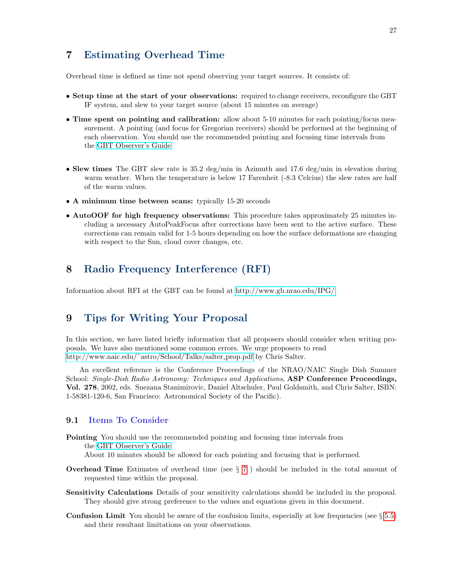# <span id="page-32-0"></span>7 Estimating Overhead Time

Overhead time is defined as time not spend observing your target sources. It consists of:

- Setup time at the start of your observations: required to change receivers, reconfigure the GBT IF system, and slew to your target source (about 15 minutes on average)
- Time spent on pointing and calibration: allow about 5-10 minutes for each pointing/focus measurement. A pointing (and focus for Gregorian receivers) should be performed at the beginning of each observation. You should use the recommended pointing and focusing time intervals from the [GBT Observer's Guide.](https://science.nrao.edu/facilities/gbt/observing/GBTog.pdf)
- Slew times The GBT slew rate is 35.2 deg/min in Azimuth and 17.6 deg/min in elevation during warm weather. When the temperature is below 17 Farenheit (-8.3 Celcius) the slew rates are half of the warm values.
- A minimum time between scans: typically 15-20 seconds
- AutoOOF for high frequency observations: This procedure takes approximately 25 minutes including a necessary AutoPeakFocus after corrections have been sent to the active surface. These corrections can remain valid for 1-5 hours depending on how the surface deformations are changing with respect to the Sun, cloud cover changes, etc.

# <span id="page-32-1"></span>8 Radio Frequency Interference (RFI)

Information about RFI at the GBT can be found at [http://www.gb.nrao.edu/IPG/.](http://www.gb.nrao.edu/IPG/)

# <span id="page-32-2"></span>9 Tips for Writing Your Proposal

In this section, we have listed briefly information that all proposers should consider when writing proposals. We have also mentioned some common errors. We urge proposers to read http://www.naic.edu/~astro/School/Talks/salter\_prop.pdf by Chris Salter.

An excellent reference is the Conference Proceedings of the NRAO/NAIC Single Dish Summer School: Single-Dish Radio Astronomy: Techniques and Applications, ASP Conference Proceedings, Vol. 278, 2002, eds. Snezana Stanimirovic, Daniel Altschuler, Paul Goldsmith, and Chris Salter, ISBN: 1-58381-120-6, San Francisco: Astronomical Society of the Pacific).

#### <span id="page-32-3"></span>9.1 Items To Consider

- **Pointing** You should use the recommended pointing and focusing time intervals from the [GBT Observer's Guide.](https://science.nrao.edu/facilities/gbt/observing/GBTog.pdf) About 10 minutes should be allowed for each pointing and focusing that is performed.
- **Overhead Time** Estimates of overhead time (see  $\S 7$  $\S 7$ ) should be included in the total amount of requested time within the proposal.
- Sensitivity Calculations Details of your sensitivity calculations should be included in the proposal. They should give strong preference to the values and equations given in this document.
- **Confusion Limit** You should be aware of the confusion limits, especially at low frequencies (see  $\S 5.5$ ) and their resultant limitations on your observations.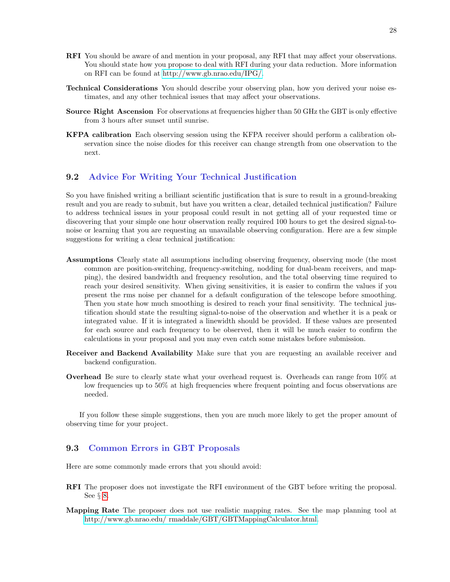- RFI You should be aware of and mention in your proposal, any RFI that may affect your observations. You should state how you propose to deal with RFI during your data reduction. More information on RFI can be found at [http://www.gb.nrao.edu/IPG/.](http://www.gb.nrao.edu/IPG/)
- Technical Considerations You should describe your observing plan, how you derived your noise estimates, and any other technical issues that may affect your observations.
- **Source Right Ascension** For observations at frequencies higher than 50 GHz the GBT is only effective from 3 hours after sunset until sunrise.
- KFPA calibration Each observing session using the KFPA receiver should perform a calibration observation since the noise diodes for this receiver can change strength from one observation to the next.

#### <span id="page-33-0"></span>9.2 Advice For Writing Your Technical Justification

So you have finished writing a brilliant scientific justification that is sure to result in a ground-breaking result and you are ready to submit, but have you written a clear, detailed technical justification? Failure to address technical issues in your proposal could result in not getting all of your requested time or discovering that your simple one hour observation really required 100 hours to get the desired signal-tonoise or learning that you are requesting an unavailable observing configuration. Here are a few simple suggestions for writing a clear technical justification:

- Assumptions Clearly state all assumptions including observing frequency, observing mode (the most common are position-switching, frequency-switching, nodding for dual-beam receivers, and mapping), the desired bandwidth and frequency resolution, and the total observing time required to reach your desired sensitivity. When giving sensitivities, it is easier to confirm the values if you present the rms noise per channel for a default configuration of the telescope before smoothing. Then you state how much smoothing is desired to reach your final sensitivity. The technical justification should state the resulting signal-to-noise of the observation and whether it is a peak or integrated value. If it is integrated a linewidth should be provided. If these values are presented for each source and each frequency to be observed, then it will be much easier to confirm the calculations in your proposal and you may even catch some mistakes before submission.
- Receiver and Backend Availability Make sure that you are requesting an available receiver and backend configuration.
- Overhead Be sure to clearly state what your overhead request is. Overheads can range from 10% at low frequencies up to 50% at high frequencies where frequent pointing and focus observations are needed.

If you follow these simple suggestions, then you are much more likely to get the proper amount of observing time for your project.

#### <span id="page-33-1"></span>9.3 Common Errors in GBT Proposals

Here are some commonly made errors that you should avoid:

- RFI The proposer does not investigate the RFI environment of the GBT before writing the proposal. See § [8.](#page-32-1)
- Mapping Rate The proposer does not use realistic mapping rates. See the map planning tool at [http://www.gb.nrao.edu/ rmaddale/GBT/GBTMappingCalculator.html.](http://www.gb.nrao.edu/~rmaddale/GBT/GBTMappingCalculator.html)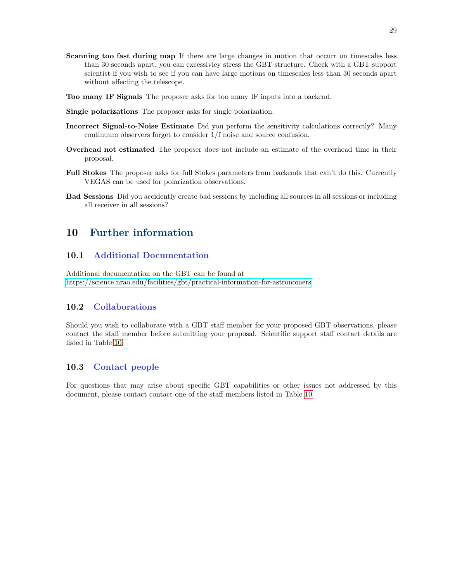- Scanning too fast during map If there are large changes in motion that occurr on timescales less than 30 seconds apart, you can excessivley stress the GBT structure. Check with a GBT support scientist if you wish to see if you can have large motions on timescales less than 30 seconds apart without affecting the telescope.
- Too many IF Signals The proposer asks for too many IF inputs into a backend.
- Single polarizations The proposer asks for single polarization.
- Incorrect Signal-to-Noise Estimate Did you perform the sensitivity calculations correctly? Many continuum observers forget to consider 1/f noise and source confusion.
- Overhead not estimated The proposer does not include an estimate of the overhead time in their proposal.
- Full Stokes The proposer asks for full Stokes parameters from backends that can't do this. Currently VEGAS can be used for polarization observations.
- Bad Sessions Did you accidently create bad sessions by including all sources in all sessions or including all receiver in all sessions?

# <span id="page-34-0"></span>10 Further information

## <span id="page-34-1"></span>10.1 Additional Documentation

Additional documentation on the GBT can be found at <https://science.nrao.edu/facilities/gbt/practical-information-for-astronomers>

## <span id="page-34-2"></span>10.2 Collaborations

Should you wish to collaborate with a GBT staff member for your proposed GBT observations, please contact the staff member before submitting your proposal. Scientific support staff contact details are listed in Table [10.](#page-35-0)

## <span id="page-34-3"></span>10.3 Contact people

For questions that may arise about specific GBT capabilities or other issues not addressed by this document, please contact contact one of the staff members listed in Table [10.](#page-35-0)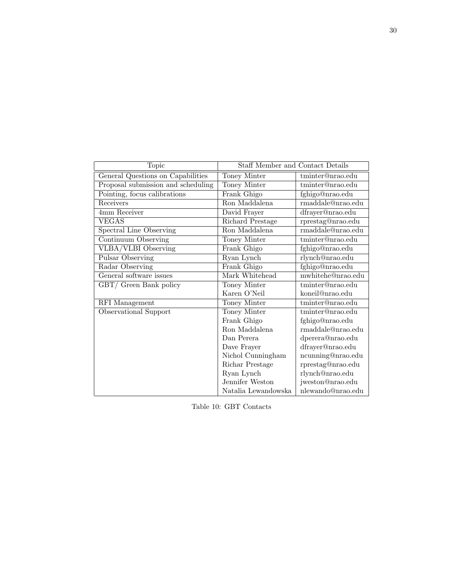| Topic                              | Staff Member and Contact Details |                     |  |  |  |  |  |
|------------------------------------|----------------------------------|---------------------|--|--|--|--|--|
| General Questions on Capabilities  | Toney Minter                     | $t$ minter@nrao.edu |  |  |  |  |  |
| Proposal submission and scheduling | Toney Minter                     | tminter@nrao.edu    |  |  |  |  |  |
| Pointing, focus calibrations       | Frank Ghigo                      | fghigo@nrao.edu     |  |  |  |  |  |
| Receivers                          | Ron Maddalena                    | rmaddale@nrao.edu   |  |  |  |  |  |
| 4mm Receiver                       | David Frayer                     | dfrayer@nrao.edu    |  |  |  |  |  |
| <b>VEGAS</b>                       | Richard Prestage                 | rprestag@nrao.edu   |  |  |  |  |  |
| Spectral Line Observing            | Ron Maddalena                    | rmaddale@nrao.edu   |  |  |  |  |  |
| Continuum Observing                | Toney Minter                     | tminter@nrao.edu    |  |  |  |  |  |
| <b>VLBA/VLBI</b> Observing         | Frank Ghigo                      | fghigo@nrao.edu     |  |  |  |  |  |
| Pulsar Observing                   | Ryan Lynch                       | rlynch@nrao.edu     |  |  |  |  |  |
| Radar Observing                    | Frank Ghigo                      | fghigo@nrao.edu     |  |  |  |  |  |
| General software issues            | Mark Whitehead                   | mwhitehe@nrao.edu   |  |  |  |  |  |
| GBT/ Green Bank policy             | Toney Minter                     | tminter@nrao.edu    |  |  |  |  |  |
|                                    | Karen O'Neil                     | koneil@nrao.edu     |  |  |  |  |  |
| RFI Management                     | Toney Minter                     | tminter@nrao.edu    |  |  |  |  |  |
| Observational Support              | Toney Minter                     | $t$ minter@nrao.edu |  |  |  |  |  |
|                                    | Frank Ghigo                      | fghigo@nrao.edu     |  |  |  |  |  |
|                                    | Ron Maddalena                    | rmaddale@nrao.edu   |  |  |  |  |  |
|                                    | Dan Perera                       | dperera@nrao.edu    |  |  |  |  |  |
|                                    | Dave Frayer                      | dfrayer@nrao.edu    |  |  |  |  |  |
|                                    | Nichol Cunningham                | ncunning@nrao.edu   |  |  |  |  |  |
|                                    | Richar Prestage                  | rprestag@nrao.edu   |  |  |  |  |  |
|                                    | Ryan Lynch                       | rlynch@nrao.edu     |  |  |  |  |  |
|                                    | Jennifer Weston                  | jweston@nrao.edu    |  |  |  |  |  |
|                                    | Natalia Lewandowska              | nlewando@nrao.edu   |  |  |  |  |  |

<span id="page-35-0"></span>Table 10: GBT Contacts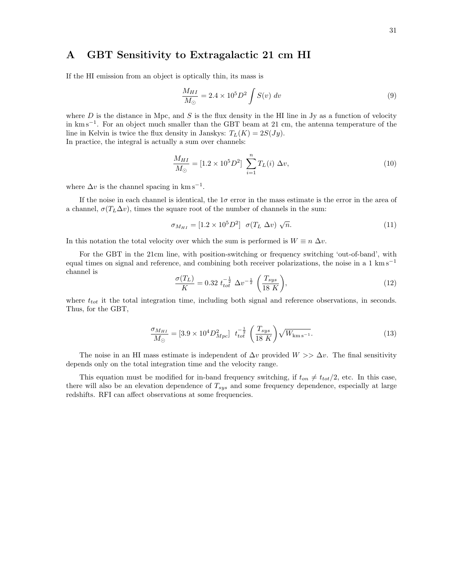## <span id="page-36-0"></span>A GBT Sensitivity to Extragalactic 21 cm HI

If the HI emission from an object is optically thin, its mass is

$$
\frac{M_{HI}}{M_{\odot}} = 2.4 \times 10^5 D^2 \int S(v) \ dv \tag{9}
$$

where  $D$  is the distance in Mpc, and  $S$  is the flux density in the HI line in Jy as a function of velocity in km s−<sup>1</sup> . For an object much smaller than the GBT beam at 21 cm, the antenna temperature of the line in Kelvin is twice the flux density in Janskys:  $T_L(K) = 2S(Jy)$ . In practice, the integral is actually a sum over channels:

$$
\frac{M_{HI}}{M_{\odot}} = [1.2 \times 10^5 D^2] \sum_{i=1}^{n} T_L(i) \Delta v, \qquad (10)
$$

where  $\Delta v$  is the channel spacing in km s<sup>-1</sup>.

If the noise in each channel is identical, the  $1\sigma$  error in the mass estimate is the error in the area of a channel,  $\sigma(T_L\Delta v)$ , times the square root of the number of channels in the sum:

$$
\sigma_{M_{HI}} = [1.2 \times 10^5 D^2] \quad \sigma(T_L \ \Delta v) \ \sqrt{n}.\tag{11}
$$

In this notation the total velocity over which the sum is performed is  $W \equiv n \Delta v$ .

For the GBT in the 21cm line, with position-switching or frequency switching 'out-of-band', with equal times on signal and reference, and combining both receiver polarizations, the noise in a 1 km s<sup>−1</sup> channel is

$$
\frac{\sigma(T_L)}{K} = 0.32 \ t_{tot}^{-\frac{1}{2}} \ \Delta v^{-\frac{1}{2}} \left(\frac{T_{sys}}{18 \ K}\right),\tag{12}
$$

where  $t_{tot}$  it the total integration time, including both signal and reference observations, in seconds. Thus, for the GBT,

$$
\frac{\sigma_{M_{HI}}}{M_{\odot}} = [3.9 \times 10^4 D_{Mpc}^2] \t t_{tot}^{-\frac{1}{2}} \left(\frac{T_{sys}}{18 \text{ K}}\right) \sqrt{W_{\text{km s}^{-1}}}.
$$
\n(13)

The noise in an HI mass estimate is independent of  $\Delta v$  provided  $W >> \Delta v$ . The final sensitivity depends only on the total integration time and the velocity range.

This equation must be modified for in-band frequency switching, if  $t_{on} \neq t_{tot}/2$ , etc. In this case, there will also be an elevation dependence of  $T_{sys}$  and some frequency dependence, especially at large redshifts. RFI can affect observations at some frequencies.